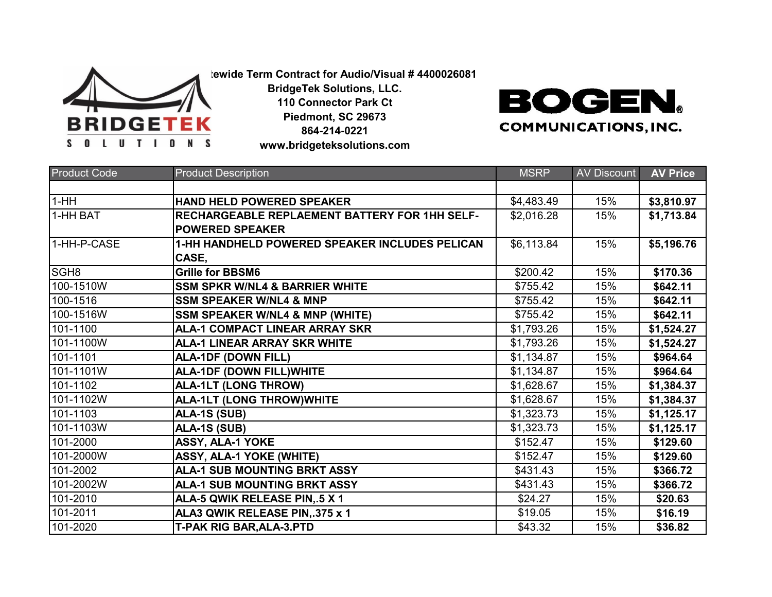

**Statewide Term Contract for Audio/Visual # 4400026081**

**BridgeTek Solutions, LLC. 110 Connector Park Ct**

**Piedmont, SC 29673 864-214-0221 www.bridgeteksolutions.com** **BOGEN. COMMUNICATIONS, INC.** 

| <b>Product Code</b> | <b>Product Description</b>                           | <b>MSRP</b> | <b>AV Discount</b> | <b>AV Price</b> |
|---------------------|------------------------------------------------------|-------------|--------------------|-----------------|
|                     |                                                      |             |                    |                 |
| $1-HH$              | HAND HELD POWERED SPEAKER                            | \$4,483.49  | 15%                | \$3,810.97      |
| 1-HH BAT            | <b>RECHARGEABLE REPLAEMENT BATTERY FOR 1HH SELF-</b> | \$2,016.28  | 15%                | \$1,713.84      |
|                     | <b>POWERED SPEAKER</b>                               |             |                    |                 |
| 1-HH-P-CASE         | 1-HH HANDHELD POWERED SPEAKER INCLUDES PELICAN       | \$6,113.84  | 15%                | \$5,196.76      |
|                     | CASE,                                                |             |                    |                 |
| SGH <sub>8</sub>    | <b>Grille for BBSM6</b>                              | \$200.42    | 15%                | \$170.36        |
| 100-1510W           | <b>SSM SPKR W/NL4 &amp; BARRIER WHITE</b>            | \$755.42    | 15%                | \$642.11        |
| 100-1516            | <b>SSM SPEAKER W/NL4 &amp; MNP</b>                   | \$755.42    | 15%                | \$642.11        |
| 100-1516W           | <b>SSM SPEAKER W/NL4 &amp; MNP (WHITE)</b>           | \$755.42    | 15%                | \$642.11        |
| 101-1100            | <b>ALA-1 COMPACT LINEAR ARRAY SKR</b>                | \$1,793.26  | 15%                | \$1,524.27      |
| 101-1100W           | <b>ALA-1 LINEAR ARRAY SKR WHITE</b>                  | \$1,793.26  | 15%                | \$1,524.27      |
| 101-1101            | <b>ALA-1DF (DOWN FILL)</b>                           | \$1,134.87  | 15%                | \$964.64        |
| 101-1101W           | <b>ALA-1DF (DOWN FILL) WHITE</b>                     | \$1,134.87  | 15%                | \$964.64        |
| 101-1102            | <b>ALA-1LT (LONG THROW)</b>                          | \$1,628.67  | 15%                | \$1,384.37      |
| 101-1102W           | <b>ALA-1LT (LONG THROW)WHITE</b>                     | \$1,628.67  | 15%                | \$1,384.37      |
| 101-1103            | ALA-1S (SUB)                                         | \$1,323.73  | 15%                | \$1,125.17      |
| 101-1103W           | ALA-1S (SUB)                                         | \$1,323.73  | 15%                | \$1,125.17      |
| 101-2000            | ASSY, ALA-1 YOKE                                     | \$152.47    | 15%                | \$129.60        |
| 101-2000W           | <b>ASSY, ALA-1 YOKE (WHITE)</b>                      | \$152.47    | 15%                | \$129.60        |
| 101-2002            | <b>ALA-1 SUB MOUNTING BRKT ASSY</b>                  | \$431.43    | 15%                | \$366.72        |
| 101-2002W           | <b>ALA-1 SUB MOUNTING BRKT ASSY</b>                  | \$431.43    | 15%                | \$366.72        |
| 101-2010            | ALA-5 QWIK RELEASE PIN, 5 X 1                        | \$24.27     | 15%                | \$20.63         |
| 101-2011            | ALA3 QWIK RELEASE PIN, 375 x 1                       | \$19.05     | 15%                | \$16.19         |
| 101-2020            | <b>T-PAK RIG BAR, ALA-3.PTD</b>                      | \$43.32     | 15%                | \$36.82         |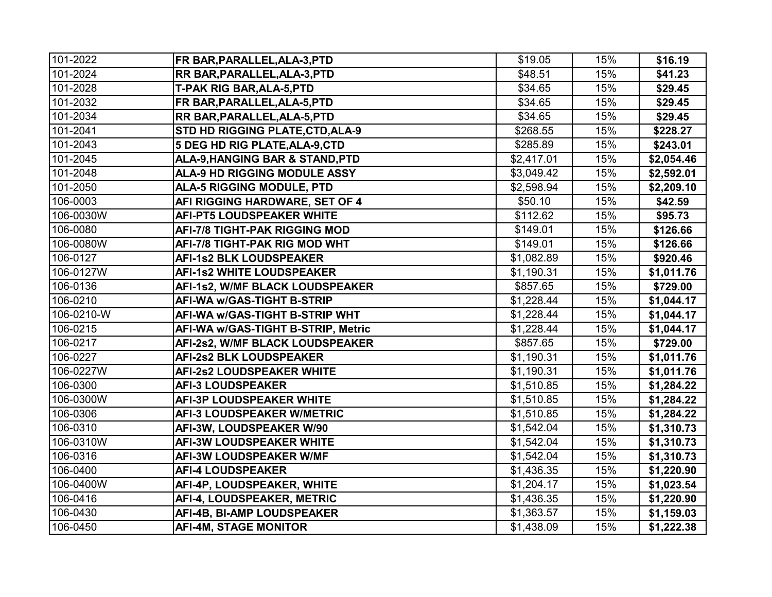| 101-2022   | FR BAR, PARALLEL, ALA-3, PTD            | \$19.05    | 15% | \$16.19    |
|------------|-----------------------------------------|------------|-----|------------|
| 101-2024   | <b>RR BAR, PARALLEL, ALA-3, PTD</b>     | \$48.51    | 15% | \$41.23    |
| 101-2028   | <b>T-PAK RIG BAR, ALA-5, PTD</b>        | \$34.65    | 15% | \$29.45    |
| 101-2032   | FR BAR, PARALLEL, ALA-5, PTD            | \$34.65    | 15% | \$29.45    |
| 101-2034   | RR BAR, PARALLEL, ALA-5, PTD            | \$34.65    | 15% | \$29.45    |
| 101-2041   | <b>STD HD RIGGING PLATE, CTD, ALA-9</b> | \$268.55   | 15% | \$228.27   |
| 101-2043   | 5 DEG HD RIG PLATE, ALA-9, CTD          | \$285.89   | 15% | \$243.01   |
| 101-2045   | ALA-9, HANGING BAR & STAND, PTD         | \$2,417.01 | 15% | \$2,054.46 |
| 101-2048   | <b>ALA-9 HD RIGGING MODULE ASSY</b>     | \$3,049.42 | 15% | \$2,592.01 |
| 101-2050   | <b>ALA-5 RIGGING MODULE, PTD</b>        | \$2,598.94 | 15% | \$2,209.10 |
| 106-0003   | AFI RIGGING HARDWARE, SET OF 4          | \$50.10    | 15% | \$42.59    |
| 106-0030W  | <b>AFI-PT5 LOUDSPEAKER WHITE</b>        | \$112.62   | 15% | \$95.73    |
| 106-0080   | <b>AFI-7/8 TIGHT-PAK RIGGING MOD</b>    | \$149.01   | 15% | \$126.66   |
| 106-0080W  | AFI-7/8 TIGHT-PAK RIG MOD WHT           | \$149.01   | 15% | \$126.66   |
| 106-0127   | <b>AFI-1s2 BLK LOUDSPEAKER</b>          | \$1,082.89 | 15% | \$920.46   |
| 106-0127W  | <b>AFI-1s2 WHITE LOUDSPEAKER</b>        | \$1,190.31 | 15% | \$1,011.76 |
| 106-0136   | AFI-1s2, W/MF BLACK LOUDSPEAKER         | \$857.65   | 15% | \$729.00   |
| 106-0210   | <b>AFI-WA w/GAS-TIGHT B-STRIP</b>       | \$1,228.44 | 15% | \$1,044.17 |
| 106-0210-W | AFI-WA w/GAS-TIGHT B-STRIP WHT          | \$1,228.44 | 15% | \$1,044.17 |
| 106-0215   | AFI-WA w/GAS-TIGHT B-STRIP, Metric      | \$1,228.44 | 15% | \$1,044.17 |
| 106-0217   | AFI-2s2, W/MF BLACK LOUDSPEAKER         | \$857.65   | 15% | \$729.00   |
| 106-0227   | <b>AFI-2s2 BLK LOUDSPEAKER</b>          | \$1,190.31 | 15% | \$1,011.76 |
| 106-0227W  | <b>AFI-2s2 LOUDSPEAKER WHITE</b>        | \$1,190.31 | 15% | \$1,011.76 |
| 106-0300   | <b>AFI-3 LOUDSPEAKER</b>                | \$1,510.85 | 15% | \$1,284.22 |
| 106-0300W  | <b>AFI-3P LOUDSPEAKER WHITE</b>         | \$1,510.85 | 15% | \$1,284.22 |
| 106-0306   | <b>AFI-3 LOUDSPEAKER W/METRIC</b>       | \$1,510.85 | 15% | \$1,284.22 |
| 106-0310   | AFI-3W, LOUDSPEAKER W/90                | \$1,542.04 | 15% | \$1,310.73 |
| 106-0310W  | <b>AFI-3W LOUDSPEAKER WHITE</b>         | \$1,542.04 | 15% | \$1,310.73 |
| 106-0316   | <b>AFI-3W LOUDSPEAKER W/MF</b>          | \$1,542.04 | 15% | \$1,310.73 |
| 106-0400   | <b>AFI-4 LOUDSPEAKER</b>                | \$1,436.35 | 15% | \$1,220.90 |
| 106-0400W  | AFI-4P, LOUDSPEAKER, WHITE              | \$1,204.17 | 15% | \$1,023.54 |
| 106-0416   | AFI-4, LOUDSPEAKER, METRIC              | \$1,436.35 | 15% | \$1,220.90 |
| 106-0430   | AFI-4B, BI-AMP LOUDSPEAKER              | \$1,363.57 | 15% | \$1,159.03 |
| 106-0450   | <b>AFI-4M, STAGE MONITOR</b>            | \$1,438.09 | 15% | \$1,222.38 |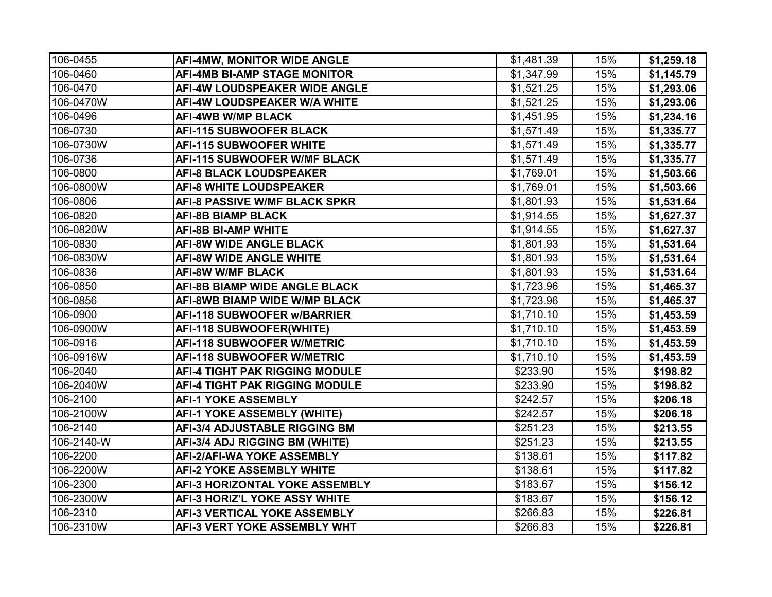| 106-0455   | <b>AFI-4MW, MONITOR WIDE ANGLE</b>    | \$1,481.39 | 15% | \$1,259.18 |
|------------|---------------------------------------|------------|-----|------------|
| 106-0460   | <b>AFI-4MB BI-AMP STAGE MONITOR</b>   | \$1,347.99 | 15% | \$1,145.79 |
| 106-0470   | AFI-4W LOUDSPEAKER WIDE ANGLE         | \$1,521.25 | 15% | \$1,293.06 |
| 106-0470W  | <b>AFI-4W LOUDSPEAKER W/A WHITE</b>   | \$1,521.25 | 15% | \$1,293.06 |
| 106-0496   | <b>AFI-4WB W/MP BLACK</b>             | \$1,451.95 | 15% | \$1,234.16 |
| 106-0730   | <b>AFI-115 SUBWOOFER BLACK</b>        | \$1,571.49 | 15% | \$1,335.77 |
| 106-0730W  | <b>AFI-115 SUBWOOFER WHITE</b>        | \$1,571.49 | 15% | \$1,335.77 |
| 106-0736   | <b>AFI-115 SUBWOOFER W/MF BLACK</b>   | \$1,571.49 | 15% | \$1,335.77 |
| 106-0800   | <b>AFI-8 BLACK LOUDSPEAKER</b>        | \$1,769.01 | 15% | \$1,503.66 |
| 106-0800W  | <b>AFI-8 WHITE LOUDSPEAKER</b>        | \$1,769.01 | 15% | \$1,503.66 |
| 106-0806   | <b>AFI-8 PASSIVE W/MF BLACK SPKR</b>  | \$1,801.93 | 15% | \$1,531.64 |
| 106-0820   | <b>AFI-8B BIAMP BLACK</b>             | \$1,914.55 | 15% | \$1,627.37 |
| 106-0820W  | <b>AFI-8B BI-AMP WHITE</b>            | \$1,914.55 | 15% | \$1,627.37 |
| 106-0830   | <b>AFI-8W WIDE ANGLE BLACK</b>        | \$1,801.93 | 15% | \$1,531.64 |
| 106-0830W  | <b>AFI-8W WIDE ANGLE WHITE</b>        | \$1,801.93 | 15% | \$1,531.64 |
| 106-0836   | <b>AFI-8W W/MF BLACK</b>              | \$1,801.93 | 15% | \$1,531.64 |
| 106-0850   | <b>AFI-8B BIAMP WIDE ANGLE BLACK</b>  | \$1,723.96 | 15% | \$1,465.37 |
| 106-0856   | <b>AFI-8WB BIAMP WIDE W/MP BLACK</b>  | \$1,723.96 | 15% | \$1,465.37 |
| 106-0900   | <b>AFI-118 SUBWOOFER w/BARRIER</b>    | \$1,710.10 | 15% | \$1,453.59 |
| 106-0900W  | AFI-118 SUBWOOFER(WHITE)              | \$1,710.10 | 15% | \$1,453.59 |
| 106-0916   | <b>AFI-118 SUBWOOFER W/METRIC</b>     | \$1,710.10 | 15% | \$1,453.59 |
| 106-0916W  | <b>AFI-118 SUBWOOFER W/METRIC</b>     | \$1,710.10 | 15% | \$1,453.59 |
| 106-2040   | <b>AFI-4 TIGHT PAK RIGGING MODULE</b> | \$233.90   | 15% | \$198.82   |
| 106-2040W  | <b>AFI-4 TIGHT PAK RIGGING MODULE</b> | \$233.90   | 15% | \$198.82   |
| 106-2100   | <b>AFI-1 YOKE ASSEMBLY</b>            | \$242.57   | 15% | \$206.18   |
| 106-2100W  | <b>AFI-1 YOKE ASSEMBLY (WHITE)</b>    | \$242.57   | 15% | \$206.18   |
| 106-2140   | <b>AFI-3/4 ADJUSTABLE RIGGING BM</b>  | \$251.23   | 15% | \$213.55   |
| 106-2140-W | AFI-3/4 ADJ RIGGING BM (WHITE)        | \$251.23   | 15% | \$213.55   |
| 106-2200   | <b>AFI-2/AFI-WA YOKE ASSEMBLY</b>     | \$138.61   | 15% | \$117.82   |
| 106-2200W  | <b>AFI-2 YOKE ASSEMBLY WHITE</b>      | \$138.61   | 15% | \$117.82   |
| 106-2300   | AFI-3 HORIZONTAL YOKE ASSEMBLY        | \$183.67   | 15% | \$156.12   |
| 106-2300W  | <b>AFI-3 HORIZ'L YOKE ASSY WHITE</b>  | \$183.67   | 15% | \$156.12   |
| 106-2310   | <b>AFI-3 VERTICAL YOKE ASSEMBLY</b>   | \$266.83   | 15% | \$226.81   |
| 106-2310W  | AFI-3 VERT YOKE ASSEMBLY WHT          | \$266.83   | 15% | \$226.81   |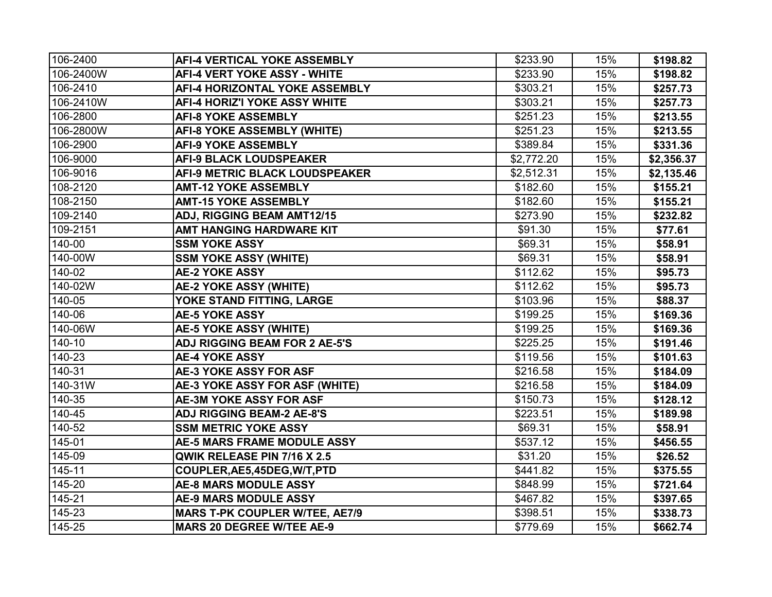| 106-2400  | <b>AFI-4 VERTICAL YOKE ASSEMBLY</b>   | \$233.90   | 15% | \$198.82   |
|-----------|---------------------------------------|------------|-----|------------|
| 106-2400W | <b>AFI-4 VERT YOKE ASSY - WHITE</b>   | \$233.90   | 15% | \$198.82   |
| 106-2410  | AFI-4 HORIZONTAL YOKE ASSEMBLY        | \$303.21   | 15% | \$257.73   |
| 106-2410W | <b>AFI-4 HORIZ'I YOKE ASSY WHITE</b>  | \$303.21   | 15% | \$257.73   |
| 106-2800  | <b>AFI-8 YOKE ASSEMBLY</b>            | \$251.23   | 15% | \$213.55   |
| 106-2800W | <b>AFI-8 YOKE ASSEMBLY (WHITE)</b>    | \$251.23   | 15% | \$213.55   |
| 106-2900  | <b>AFI-9 YOKE ASSEMBLY</b>            | \$389.84   | 15% | \$331.36   |
| 106-9000  | <b>AFI-9 BLACK LOUDSPEAKER</b>        | \$2,772.20 | 15% | \$2,356.37 |
| 106-9016  | AFI-9 METRIC BLACK LOUDSPEAKER        | \$2,512.31 | 15% | \$2,135.46 |
| 108-2120  | <b>AMT-12 YOKE ASSEMBLY</b>           | \$182.60   | 15% | \$155.21   |
| 108-2150  | <b>AMT-15 YOKE ASSEMBLY</b>           | \$182.60   | 15% | \$155.21   |
| 109-2140  | <b>ADJ, RIGGING BEAM AMT12/15</b>     | \$273.90   | 15% | \$232.82   |
| 109-2151  | AMT HANGING HARDWARE KIT              | \$91.30    | 15% | \$77.61    |
| 140-00    | <b>SSM YOKE ASSY</b>                  | \$69.31    | 15% | \$58.91    |
| 140-00W   | <b>SSM YOKE ASSY (WHITE)</b>          | \$69.31    | 15% | \$58.91    |
| 140-02    | <b>AE-2 YOKE ASSY</b>                 | \$112.62   | 15% | \$95.73    |
| 140-02W   | <b>AE-2 YOKE ASSY (WHITE)</b>         | \$112.62   | 15% | \$95.73    |
| 140-05    | YOKE STAND FITTING, LARGE             | \$103.96   | 15% | \$88.37    |
| 140-06    | <b>AE-5 YOKE ASSY</b>                 | \$199.25   | 15% | \$169.36   |
| 140-06W   | <b>AE-5 YOKE ASSY (WHITE)</b>         | \$199.25   | 15% | \$169.36   |
| 140-10    | <b>ADJ RIGGING BEAM FOR 2 AE-5'S</b>  | \$225.25   | 15% | \$191.46   |
| 140-23    | <b>AE-4 YOKE ASSY</b>                 | \$119.56   | 15% | \$101.63   |
| 140-31    | <b>AE-3 YOKE ASSY FOR ASF</b>         | \$216.58   | 15% | \$184.09   |
| 140-31W   | AE-3 YOKE ASSY FOR ASF (WHITE)        | \$216.58   | 15% | \$184.09   |
| 140-35    | <b>AE-3M YOKE ASSY FOR ASF</b>        | \$150.73   | 15% | \$128.12   |
| 140-45    | <b>ADJ RIGGING BEAM-2 AE-8'S</b>      | \$223.51   | 15% | \$189.98   |
| 140-52    | <b>SSM METRIC YOKE ASSY</b>           | \$69.31    | 15% | \$58.91    |
| 145-01    | <b>AE-5 MARS FRAME MODULE ASSY</b>    | \$537.12   | 15% | \$456.55   |
| 145-09    | QWIK RELEASE PIN 7/16 X 2.5           | \$31.20    | 15% | \$26.52    |
| 145-11    | COUPLER, AE5, 45DEG, W/T, PTD         | \$441.82   | 15% | \$375.55   |
| 145-20    | <b>AE-8 MARS MODULE ASSY</b>          | \$848.99   | 15% | \$721.64   |
| 145-21    | <b>AE-9 MARS MODULE ASSY</b>          | \$467.82   | 15% | \$397.65   |
| 145-23    | <b>MARS T-PK COUPLER W/TEE, AE7/9</b> | \$398.51   | 15% | \$338.73   |
| 145-25    | <b>MARS 20 DEGREE W/TEE AE-9</b>      | \$779.69   | 15% | \$662.74   |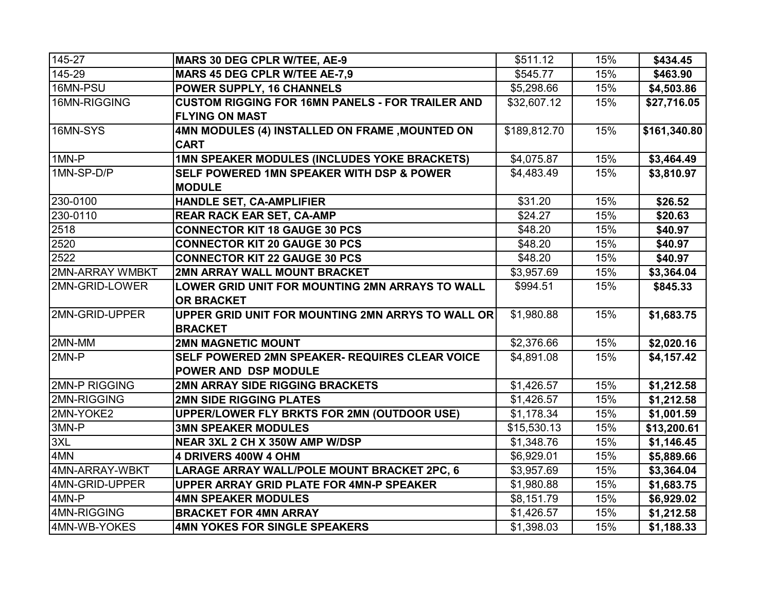| 145-27                 | <b>MARS 30 DEG CPLR W/TEE, AE-9</b>                     | \$511.12     | 15% | \$434.45     |
|------------------------|---------------------------------------------------------|--------------|-----|--------------|
| 145-29                 | MARS 45 DEG CPLR W/TEE AE-7,9                           | \$545.77     | 15% | \$463.90     |
| 16MN-PSU               | POWER SUPPLY, 16 CHANNELS                               | \$5,298.66   | 15% | \$4,503.86   |
| 16MN-RIGGING           | <b>CUSTOM RIGGING FOR 16MN PANELS - FOR TRAILER AND</b> | \$32,607.12  | 15% | \$27,716.05  |
|                        | <b>FLYING ON MAST</b>                                   |              |     |              |
| 16MN-SYS               | 4MN MODULES (4) INSTALLED ON FRAME , MOUNTED ON         | \$189,812.70 | 15% | \$161,340.80 |
|                        | <b>CART</b>                                             |              |     |              |
| 1MN-P                  | 1MN SPEAKER MODULES (INCLUDES YOKE BRACKETS)            | \$4,075.87   | 15% | \$3,464.49   |
| 1MN-SP-D/P             | <b>SELF POWERED 1MN SPEAKER WITH DSP &amp; POWER</b>    | \$4,483.49   | 15% | \$3,810.97   |
|                        | <b>MODULE</b>                                           |              |     |              |
| 230-0100               | HANDLE SET, CA-AMPLIFIER                                | \$31.20      | 15% | \$26.52      |
| 230-0110               | <b>REAR RACK EAR SET, CA-AMP</b>                        | \$24.27      | 15% | \$20.63      |
| 2518                   | <b>CONNECTOR KIT 18 GAUGE 30 PCS</b>                    | \$48.20      | 15% | \$40.97      |
| 2520                   | <b>CONNECTOR KIT 20 GAUGE 30 PCS</b>                    | \$48.20      | 15% | \$40.97      |
| 2522                   | <b>CONNECTOR KIT 22 GAUGE 30 PCS</b>                    | \$48.20      | 15% | \$40.97      |
| <b>2MN-ARRAY WMBKT</b> | 2MN ARRAY WALL MOUNT BRACKET                            | \$3,957.69   | 15% | \$3,364.04   |
| 2MN-GRID-LOWER         | LOWER GRID UNIT FOR MOUNTING 2MN ARRAYS TO WALL         | \$994.51     | 15% | \$845.33     |
|                        | <b>OR BRACKET</b>                                       |              |     |              |
| 2MN-GRID-UPPER         | UPPER GRID UNIT FOR MOUNTING 2MN ARRYS TO WALL OR       | \$1,980.88   | 15% | \$1,683.75   |
|                        | <b>BRACKET</b>                                          |              |     |              |
| 2MN-MM                 | <b>2MN MAGNETIC MOUNT</b>                               | \$2,376.66   | 15% | \$2,020.16   |
| 2MN-P                  | SELF POWERED 2MN SPEAKER- REQUIRES CLEAR VOICE          | \$4,891.08   | 15% | \$4,157.42   |
|                        | <b>POWER AND DSP MODULE</b>                             |              |     |              |
| <b>2MN-P RIGGING</b>   | <b>2MN ARRAY SIDE RIGGING BRACKETS</b>                  | \$1,426.57   | 15% | \$1,212.58   |
| 2MN-RIGGING            | <b>2MN SIDE RIGGING PLATES</b>                          | \$1,426.57   | 15% | \$1,212.58   |
| 2MN-YOKE2              | UPPER/LOWER FLY BRKTS FOR 2MN (OUTDOOR USE)             | \$1,178.34   | 15% | \$1,001.59   |
| 3MN-P                  | <b>3MN SPEAKER MODULES</b>                              | \$15,530.13  | 15% | \$13,200.61  |
| 3XL                    | NEAR 3XL 2 CH X 350W AMP W/DSP                          | \$1,348.76   | 15% | \$1,146.45   |
| 4MN                    | 4 DRIVERS 400W 4 OHM                                    | \$6,929.01   | 15% | \$5,889.66   |
| 4MN-ARRAY-WBKT         | LARAGE ARRAY WALL/POLE MOUNT BRACKET 2PC, 6             | \$3,957.69   | 15% | \$3,364.04   |
| 4MN-GRID-UPPER         | UPPER ARRAY GRID PLATE FOR 4MN-P SPEAKER                | \$1,980.88   | 15% | \$1,683.75   |
| 4MN-P                  | <b>4MN SPEAKER MODULES</b>                              | \$8,151.79   | 15% | \$6,929.02   |
| 4MN-RIGGING            | <b>BRACKET FOR 4MN ARRAY</b>                            | \$1,426.57   | 15% | \$1,212.58   |
| 4MN-WB-YOKES           | 4MN YOKES FOR SINGLE SPEAKERS                           | \$1,398.03   | 15% | \$1,188.33   |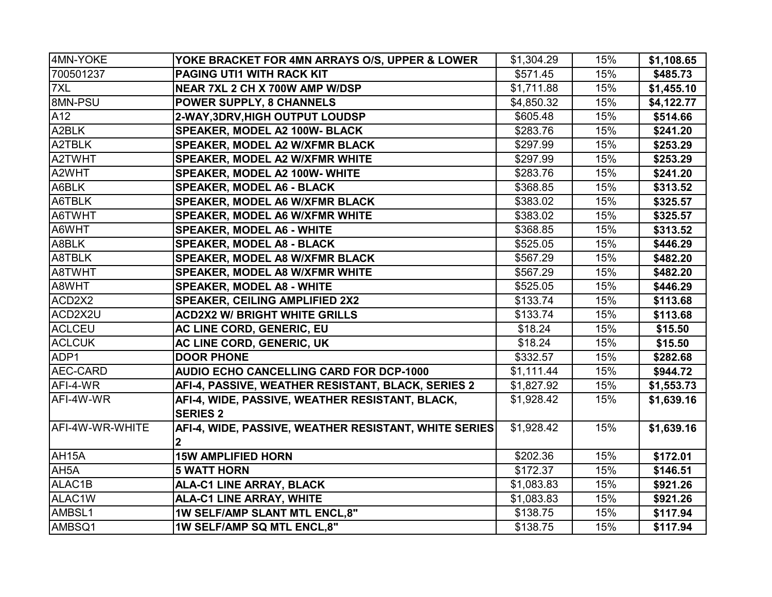| 4MN-YOKE           | YOKE BRACKET FOR 4MN ARRAYS O/S, UPPER & LOWER                        | \$1,304.29 | 15% | \$1,108.65 |
|--------------------|-----------------------------------------------------------------------|------------|-----|------------|
| 700501237          | PAGING UTI1 WITH RACK KIT                                             | \$571.45   | 15% | \$485.73   |
| 7XL                | NEAR 7XL 2 CH X 700W AMP W/DSP                                        | \$1,711.88 | 15% | \$1,455.10 |
| 8MN-PSU            | POWER SUPPLY, 8 CHANNELS                                              | \$4,850.32 | 15% | \$4,122.77 |
| A12                | 2-WAY, 3DRV, HIGH OUTPUT LOUDSP                                       | \$605.48   | 15% | \$514.66   |
| A2BLK              | <b>SPEAKER, MODEL A2 100W- BLACK</b>                                  | \$283.76   | 15% | \$241.20   |
| A2TBLK             | <b>SPEAKER, MODEL A2 W/XFMR BLACK</b>                                 | \$297.99   | 15% | \$253.29   |
| A2TWHT             | <b>SPEAKER, MODEL A2 W/XFMR WHITE</b>                                 | \$297.99   | 15% | \$253.29   |
| A2WHT              | SPEAKER, MODEL A2 100W- WHITE                                         | \$283.76   | 15% | \$241.20   |
| A6BLK              | <b>SPEAKER, MODEL A6 - BLACK</b>                                      | \$368.85   | 15% | \$313.52   |
| A6TBLK             | <b>SPEAKER, MODEL A6 W/XFMR BLACK</b>                                 | \$383.02   | 15% | \$325.57   |
| A6TWHT             | <b>SPEAKER, MODEL A6 W/XFMR WHITE</b>                                 | \$383.02   | 15% | \$325.57   |
| A6WHT              | <b>SPEAKER, MODEL A6 - WHITE</b>                                      | \$368.85   | 15% | \$313.52   |
| A8BLK              | <b>SPEAKER, MODEL A8 - BLACK</b>                                      | \$525.05   | 15% | \$446.29   |
| A8TBLK             | <b>SPEAKER, MODEL A8 W/XFMR BLACK</b>                                 | \$567.29   | 15% | \$482.20   |
| A8TWHT             | <b>SPEAKER, MODEL A8 W/XFMR WHITE</b>                                 | \$567.29   | 15% | \$482.20   |
| A8WHT              | <b>SPEAKER, MODEL A8 - WHITE</b>                                      | \$525.05   | 15% | \$446.29   |
| ACD2X2             | <b>SPEAKER, CEILING AMPLIFIED 2X2</b>                                 | \$133.74   | 15% | \$113.68   |
| ACD2X2U            | <b>ACD2X2 W/ BRIGHT WHITE GRILLS</b>                                  | \$133.74   | 15% | \$113.68   |
| <b>ACLCEU</b>      | AC LINE CORD, GENERIC, EU                                             | \$18.24    | 15% | \$15.50    |
| <b>ACLCUK</b>      | AC LINE CORD, GENERIC, UK                                             | \$18.24    | 15% | \$15.50    |
| ADP1               | <b>DOOR PHONE</b>                                                     | \$332.57   | 15% | \$282.68   |
| AEC-CARD           | AUDIO ECHO CANCELLING CARD FOR DCP-1000                               | \$1,111.44 | 15% | \$944.72   |
| AFI-4-WR           | AFI-4, PASSIVE, WEATHER RESISTANT, BLACK, SERIES 2                    | \$1,827.92 | 15% | \$1,553.73 |
| AFI-4W-WR          | AFI-4, WIDE, PASSIVE, WEATHER RESISTANT, BLACK,<br><b>SERIES 2</b>    | \$1,928.42 | 15% | \$1,639.16 |
| AFI-4W-WR-WHITE    | AFI-4, WIDE, PASSIVE, WEATHER RESISTANT, WHITE SERIES<br>$\mathbf{2}$ | \$1,928.42 | 15% | \$1,639.16 |
| AH <sub>15</sub> A | <b>15W AMPLIFIED HORN</b>                                             | \$202.36   | 15% | \$172.01   |
| AH <sub>5</sub> A  | <b>5 WATT HORN</b>                                                    | \$172.37   | 15% | \$146.51   |
| ALAC1B             | <b>ALA-C1 LINE ARRAY, BLACK</b>                                       | \$1,083.83 | 15% | \$921.26   |
| ALAC1W             | <b>ALA-C1 LINE ARRAY, WHITE</b>                                       | \$1,083.83 | 15% | \$921.26   |
| AMBSL1             | 1W SELF/AMP SLANT MTL ENCL,8"                                         | \$138.75   | 15% | \$117.94   |
| AMBSQ1             | 1W SELF/AMP SQ MTL ENCL,8"                                            | \$138.75   | 15% | \$117.94   |
|                    |                                                                       |            |     |            |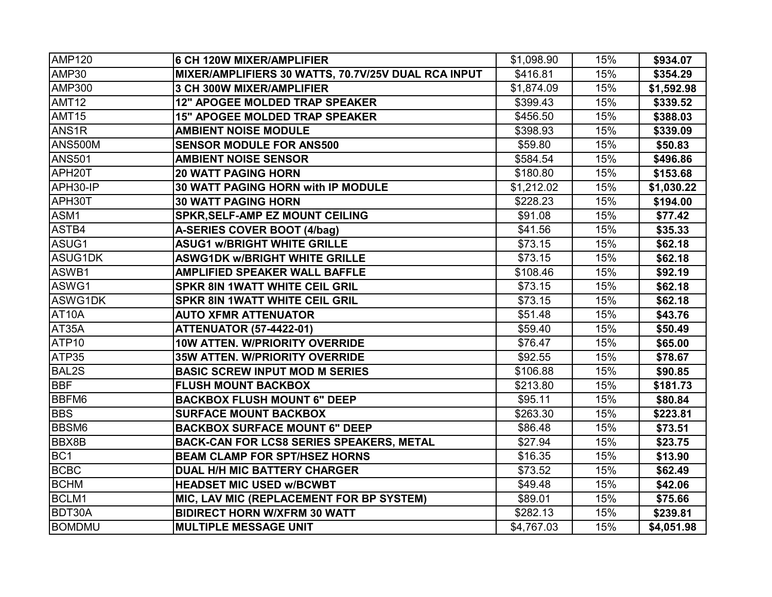| <b>AMP120</b>       | <b>6 CH 120W MIXER/AMPLIFIER</b>                    | \$1,098.90 | 15% | \$934.07   |
|---------------------|-----------------------------------------------------|------------|-----|------------|
| AMP30               | MIXER/AMPLIFIERS 30 WATTS, 70.7V/25V DUAL RCA INPUT | \$416.81   | 15% | \$354.29   |
| <b>AMP300</b>       | 3 CH 300W MIXER/AMPLIFIER                           | \$1,874.09 | 15% | \$1,592.98 |
| AMT12               | 12" APOGEE MOLDED TRAP SPEAKER                      | \$399.43   | 15% | \$339.52   |
| AMT <sub>15</sub>   | 15" APOGEE MOLDED TRAP SPEAKER                      | \$456.50   | 15% | \$388.03   |
| ANS <sub>1R</sub>   | <b>AMBIENT NOISE MODULE</b>                         | \$398.93   | 15% | \$339.09   |
| <b>ANS500M</b>      | <b>SENSOR MODULE FOR ANS500</b>                     | \$59.80    | 15% | \$50.83    |
| <b>ANS501</b>       | <b>AMBIENT NOISE SENSOR</b>                         | \$584.54   | 15% | \$496.86   |
| APH <sub>20</sub> T | <b>20 WATT PAGING HORN</b>                          | \$180.80   | 15% | \$153.68   |
| APH30-IP            | 30 WATT PAGING HORN with IP MODULE                  | \$1,212.02 | 15% | \$1,030.22 |
| APH30T              | <b>30 WATT PAGING HORN</b>                          | \$228.23   | 15% | \$194.00   |
| ASM1                | <b>SPKR, SELF-AMP EZ MOUNT CEILING</b>              | \$91.08    | 15% | \$77.42    |
| ASTB4               | A-SERIES COVER BOOT (4/bag)                         | \$41.56    | 15% | \$35.33    |
| ASUG1               | <b>ASUG1 w/BRIGHT WHITE GRILLE</b>                  | \$73.15    | 15% | \$62.18    |
| <b>ASUG1DK</b>      | <b>ASWG1DK w/BRIGHT WHITE GRILLE</b>                | \$73.15    | 15% | \$62.18    |
| ASWB1               | <b>AMPLIFIED SPEAKER WALL BAFFLE</b>                | \$108.46   | 15% | \$92.19    |
| ASWG1               | <b>SPKR 8IN 1WATT WHITE CEIL GRIL</b>               | \$73.15    | 15% | \$62.18    |
| ASWG1DK             | <b>SPKR 8IN 1WATT WHITE CEIL GRIL</b>               | \$73.15    | 15% | \$62.18    |
| AT10A               | <b>AUTO XFMR ATTENUATOR</b>                         | \$51.48    | 15% | \$43.76    |
| AT35A               | <b>ATTENUATOR (57-4422-01)</b>                      | \$59.40    | 15% | \$50.49    |
| ATP <sub>10</sub>   | 10W ATTEN. W/PRIORITY OVERRIDE                      | \$76.47    | 15% | \$65.00    |
| ATP35               | 35W ATTEN. W/PRIORITY OVERRIDE                      | \$92.55    | 15% | \$78.67    |
| <b>BAL2S</b>        | <b>BASIC SCREW INPUT MOD M SERIES</b>               | \$106.88   | 15% | \$90.85    |
| <b>BBF</b>          | <b>FLUSH MOUNT BACKBOX</b>                          | \$213.80   | 15% | \$181.73   |
| <b>BBFM6</b>        | <b>BACKBOX FLUSH MOUNT 6" DEEP</b>                  | \$95.11    | 15% | \$80.84    |
| <b>BBS</b>          | <b>SURFACE MOUNT BACKBOX</b>                        | \$263.30   | 15% | \$223.81   |
| <b>BBSM6</b>        | <b>BACKBOX SURFACE MOUNT 6" DEEP</b>                | \$86.48    | 15% | \$73.51    |
| <b>BBX8B</b>        | <b>BACK-CAN FOR LCS8 SERIES SPEAKERS, METAL</b>     | \$27.94    | 15% | \$23.75    |
| BC <sub>1</sub>     | <b>BEAM CLAMP FOR SPT/HSEZ HORNS</b>                | \$16.35    | 15% | \$13.90    |
| <b>BCBC</b>         | <b>DUAL H/H MIC BATTERY CHARGER</b>                 | \$73.52    | 15% | \$62.49    |
| <b>BCHM</b>         | <b>HEADSET MIC USED w/BCWBT</b>                     | \$49.48    | 15% | \$42.06    |
| BCLM1               | MIC, LAV MIC (REPLACEMENT FOR BP SYSTEM)            | \$89.01    | 15% | \$75.66    |
| <b>BDT30A</b>       | <b>BIDIRECT HORN W/XFRM 30 WATT</b>                 | \$282.13   | 15% | \$239.81   |
| <b>BOMDMU</b>       | <b>MULTIPLE MESSAGE UNIT</b>                        | \$4,767.03 | 15% | \$4,051.98 |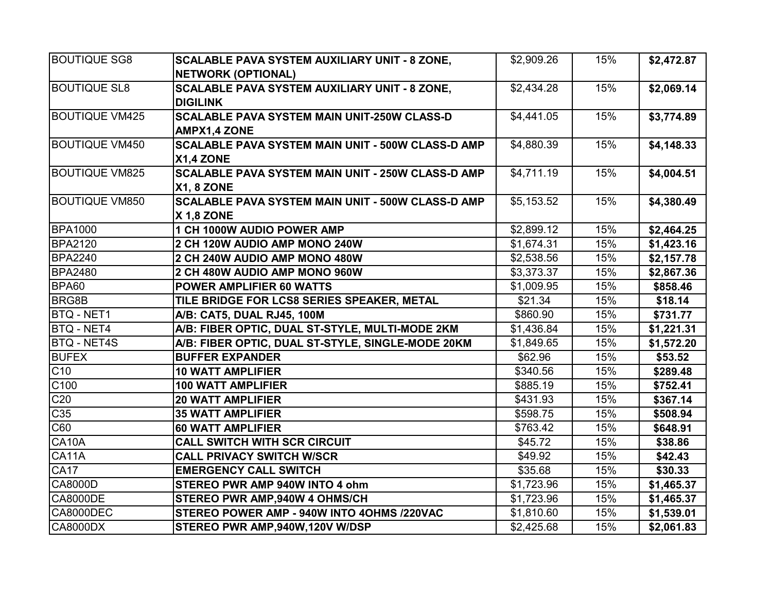| <b>BOUTIQUE SG8</b>   | <b>SCALABLE PAVA SYSTEM AUXILIARY UNIT - 8 ZONE,</b>     | \$2,909.26 | 15% | \$2,472.87 |
|-----------------------|----------------------------------------------------------|------------|-----|------------|
|                       | <b>NETWORK (OPTIONAL)</b>                                |            |     |            |
| <b>BOUTIQUE SL8</b>   | <b>SCALABLE PAVA SYSTEM AUXILIARY UNIT - 8 ZONE,</b>     | \$2,434.28 | 15% | \$2,069.14 |
|                       | <b>DIGILINK</b>                                          |            |     |            |
| <b>BOUTIQUE VM425</b> | <b>SCALABLE PAVA SYSTEM MAIN UNIT-250W CLASS-D</b>       | \$4,441.05 | 15% | \$3,774.89 |
|                       | <b>AMPX1,4 ZONE</b>                                      |            |     |            |
| <b>BOUTIQUE VM450</b> | <b>SCALABLE PAVA SYSTEM MAIN UNIT - 500W CLASS-D AMP</b> | \$4,880.39 | 15% | \$4,148.33 |
|                       | <b>X1,4 ZONE</b>                                         |            |     |            |
| <b>BOUTIQUE VM825</b> | <b>SCALABLE PAVA SYSTEM MAIN UNIT - 250W CLASS-D AMP</b> | \$4,711.19 | 15% | \$4,004.51 |
|                       | <b>X1, 8 ZONE</b>                                        |            |     |            |
| <b>BOUTIQUE VM850</b> | <b>SCALABLE PAVA SYSTEM MAIN UNIT - 500W CLASS-D AMP</b> | \$5,153.52 | 15% | \$4,380.49 |
|                       | <b>X 1.8 ZONE</b>                                        |            |     |            |
| <b>BPA1000</b>        | 1 CH 1000W AUDIO POWER AMP                               | \$2,899.12 | 15% | \$2,464.25 |
| <b>BPA2120</b>        | 2 CH 120W AUDIO AMP MONO 240W                            | \$1,674.31 | 15% | \$1,423.16 |
| <b>BPA2240</b>        | 2 CH 240W AUDIO AMP MONO 480W                            | \$2,538.56 | 15% | \$2,157.78 |
| <b>BPA2480</b>        | 2 CH 480W AUDIO AMP MONO 960W                            | \$3,373.37 | 15% | \$2,867.36 |
| BPA60                 | <b>POWER AMPLIFIER 60 WATTS</b>                          | \$1,009.95 | 15% | \$858.46   |
| <b>BRG8B</b>          | TILE BRIDGE FOR LCS8 SERIES SPEAKER, METAL               | \$21.34    | 15% | \$18.14    |
| <b>BTQ - NET1</b>     | A/B: CAT5, DUAL RJ45, 100M                               | \$860.90   | 15% | \$731.77   |
| <b>BTQ - NET4</b>     | A/B: FIBER OPTIC, DUAL ST-STYLE, MULTI-MODE 2KM          | \$1,436.84 | 15% | \$1,221.31 |
| <b>BTQ - NET4S</b>    | A/B: FIBER OPTIC, DUAL ST-STYLE, SINGLE-MODE 20KM        | \$1,849.65 | 15% | \$1,572.20 |
| <b>BUFEX</b>          | <b>BUFFER EXPANDER</b>                                   | \$62.96    | 15% | \$53.52    |
| C <sub>10</sub>       | <b>10 WATT AMPLIFIER</b>                                 | \$340.56   | 15% | \$289.48   |
| C100                  | <b>100 WATT AMPLIFIER</b>                                | \$885.19   | 15% | \$752.41   |
| C20                   | <b>20 WATT AMPLIFIER</b>                                 | \$431.93   | 15% | \$367.14   |
| C35                   | <b>35 WATT AMPLIFIER</b>                                 | \$598.75   | 15% | \$508.94   |
| $\overline{C60}$      | <b>60 WATT AMPLIFIER</b>                                 | \$763.42   | 15% | \$648.91   |
| CA10A                 | <b>CALL SWITCH WITH SCR CIRCUIT</b>                      | \$45.72    | 15% | \$38.86    |
| CA11A                 | <b>CALL PRIVACY SWITCH W/SCR</b>                         | \$49.92    | 15% | \$42.43    |
| <b>CA17</b>           | <b>EMERGENCY CALL SWITCH</b>                             | \$35.68    | 15% | \$30.33    |
| <b>CA8000D</b>        | STEREO PWR AMP 940W INTO 4 ohm                           | \$1,723.96 | 15% | \$1,465.37 |
| <b>CA8000DE</b>       | STEREO PWR AMP,940W 4 OHMS/CH                            | \$1,723.96 | 15% | \$1,465.37 |
| CA8000DEC             | STEREO POWER AMP - 940W INTO 4OHMS /220VAC               | \$1,810.60 | 15% | \$1,539.01 |
| <b>CA8000DX</b>       | STEREO PWR AMP,940W,120V W/DSP                           | \$2,425.68 | 15% | \$2,061.83 |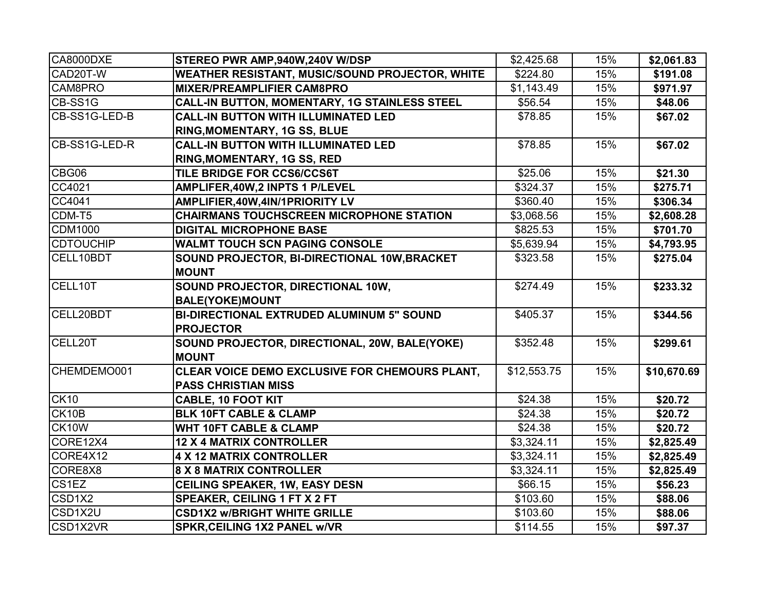| CA8000DXE                       | STEREO PWR AMP,940W,240V W/DSP                                               | \$2,425.68           | 15% | \$2,061.83  |
|---------------------------------|------------------------------------------------------------------------------|----------------------|-----|-------------|
| CAD20T-W                        | <b>WEATHER RESISTANT, MUSIC/SOUND PROJECTOR, WHITE</b>                       | \$224.80             | 15% | \$191.08    |
| CAM8PRO                         | <b>MIXER/PREAMPLIFIER CAM8PRO</b>                                            | \$1,143.49           | 15% | \$971.97    |
| CB-SS1G                         | CALL-IN BUTTON, MOMENTARY, 1G STAINLESS STEEL                                | \$56.54              | 15% | \$48.06     |
| CB-SS1G-LED-B                   | <b>CALL-IN BUTTON WITH ILLUMINATED LED</b>                                   | \$78.85              | 15% | \$67.02     |
|                                 | RING, MOMENTARY, 1G SS, BLUE                                                 |                      |     |             |
| CB-SS1G-LED-R                   | <b>CALL-IN BUTTON WITH ILLUMINATED LED</b>                                   | \$78.85              | 15% | \$67.02     |
|                                 | <b>RING, MOMENTARY, 1G SS, RED</b>                                           |                      |     |             |
| CBG06                           | TILE BRIDGE FOR CCS6/CCS6T                                                   | \$25.06              | 15% | \$21.30     |
| CC4021                          | AMPLIFER, 40W, 2 INPTS 1 P/LEVEL                                             | \$324.37             | 15% | \$275.71    |
| CC4041                          | AMPLIFIER, 40W, 4IN/1PRIORITY LV                                             | \$360.40             | 15% | \$306.34    |
| CDM-T5                          | <b>CHAIRMANS TOUCHSCREEN MICROPHONE STATION</b>                              | \$3,068.56           | 15% | \$2,608.28  |
| <b>CDM1000</b>                  | <b>DIGITAL MICROPHONE BASE</b>                                               | $\overline{$825.53}$ | 15% | \$701.70    |
| <b>CDTOUCHIP</b>                | <b>WALMT TOUCH SCN PAGING CONSOLE</b>                                        | \$5,639.94           | 15% | \$4,793.95  |
| CELL10BDT                       | SOUND PROJECTOR, BI-DIRECTIONAL 10W, BRACKET<br><b>MOUNT</b>                 | \$323.58             | 15% | \$275.04    |
| CELL10T                         | SOUND PROJECTOR, DIRECTIONAL 10W,<br><b>BALE(YOKE)MOUNT</b>                  | \$274.49             | 15% | \$233.32    |
| CELL20BDT                       | <b>BI-DIRECTIONAL EXTRUDED ALUMINUM 5" SOUND</b><br><b>PROJECTOR</b>         | \$405.37             | 15% | \$344.56    |
| CELL20T                         | SOUND PROJECTOR, DIRECTIONAL, 20W, BALE(YOKE)<br><b>MOUNT</b>                | \$352.48             | 15% | \$299.61    |
| CHEMDEMO001                     | CLEAR VOICE DEMO EXCLUSIVE FOR CHEMOURS PLANT,<br><b>PASS CHRISTIAN MISS</b> | \$12,553.75          | 15% | \$10,670.69 |
| CK10                            | <b>CABLE, 10 FOOT KIT</b>                                                    | \$24.38              | 15% | \$20.72     |
| CK10B                           | <b>BLK 10FT CABLE &amp; CLAMP</b>                                            | \$24.38              | 15% | \$20.72     |
| CK10W                           | <b>WHT 10FT CABLE &amp; CLAMP</b>                                            | \$24.38              | 15% | \$20.72     |
| CORE12X4                        | <b>12 X 4 MATRIX CONTROLLER</b>                                              | \$3,324.11           | 15% | \$2,825.49  |
| CORE4X12                        | 4 X 12 MATRIX CONTROLLER                                                     | \$3,324.11           | 15% | \$2,825.49  |
| CORE8X8                         | <b>8 X 8 MATRIX CONTROLLER</b>                                               | \$3,324.11           | 15% | \$2,825.49  |
| CS1EZ                           | <b>CEILING SPEAKER, 1W, EASY DESN</b>                                        | \$66.15              | 15% | \$56.23     |
| CSD <sub>1</sub> X <sub>2</sub> | <b>SPEAKER, CEILING 1 FT X 2 FT</b>                                          | \$103.60             | 15% | \$88.06     |
| CSD1X2U                         | <b>CSD1X2 w/BRIGHT WHITE GRILLE</b>                                          | \$103.60             | 15% | \$88.06     |
| CSD1X2VR                        | <b>SPKR, CEILING 1X2 PANEL W/VR</b>                                          | \$114.55             | 15% | \$97.37     |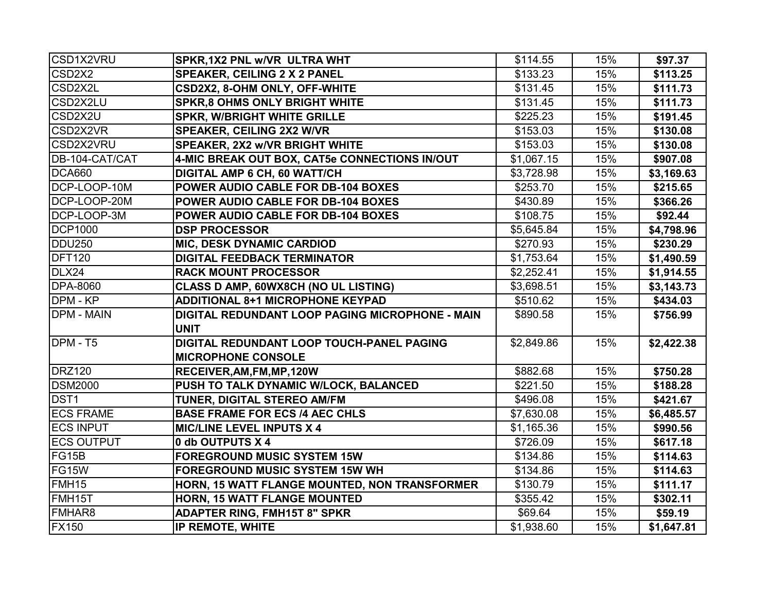| CSD1X2VRU                       | SPKR, 1X2 PNL w/VR ULTRA WHT                    | \$114.55   | 15% | \$97.37    |
|---------------------------------|-------------------------------------------------|------------|-----|------------|
| CSD <sub>2</sub> X <sub>2</sub> | <b>SPEAKER, CEILING 2 X 2 PANEL</b>             | \$133.23   | 15% | \$113.25   |
| CSD2X2L                         | CSD2X2, 8-OHM ONLY, OFF-WHITE                   | \$131.45   | 15% | \$111.73   |
| CSD2X2LU                        | <b>SPKR,8 OHMS ONLY BRIGHT WHITE</b>            | \$131.45   | 15% | \$111.73   |
| CSD2X2U                         | <b>SPKR, W/BRIGHT WHITE GRILLE</b>              | \$225.23   | 15% | \$191.45   |
| CSD2X2VR                        | <b>SPEAKER, CEILING 2X2 W/VR</b>                | \$153.03   | 15% | \$130.08   |
| CSD2X2VRU                       | <b>SPEAKER, 2X2 w/VR BRIGHT WHITE</b>           | \$153.03   | 15% | \$130.08   |
| DB-104-CAT/CAT                  | 4-MIC BREAK OUT BOX, CAT5e CONNECTIONS IN/OUT   | \$1,067.15 | 15% | \$907.08   |
| <b>DCA660</b>                   | <b>DIGITAL AMP 6 CH, 60 WATT/CH</b>             | \$3,728.98 | 15% | \$3,169.63 |
| DCP-LOOP-10M                    | POWER AUDIO CABLE FOR DB-104 BOXES              | \$253.70   | 15% | \$215.65   |
| DCP-LOOP-20M                    | POWER AUDIO CABLE FOR DB-104 BOXES              | \$430.89   | 15% | \$366.26   |
| DCP-LOOP-3M                     | POWER AUDIO CABLE FOR DB-104 BOXES              | \$108.75   | 15% | \$92.44    |
| <b>DCP1000</b>                  | <b>DSP PROCESSOR</b>                            | \$5,645.84 | 15% | \$4,798.96 |
| <b>DDU250</b>                   | <b>MIC, DESK DYNAMIC CARDIOD</b>                | \$270.93   | 15% | \$230.29   |
| <b>DFT120</b>                   | <b>DIGITAL FEEDBACK TERMINATOR</b>              | \$1,753.64 | 15% | \$1,490.59 |
| $\overline{DL}$ X24             | <b>RACK MOUNT PROCESSOR</b>                     | \$2,252.41 | 15% | \$1,914.55 |
| <b>DPA-8060</b>                 | CLASS D AMP, 60WX8CH (NO UL LISTING)            | \$3,698.51 | 15% | \$3,143.73 |
| DPM - KP                        | <b>ADDITIONAL 8+1 MICROPHONE KEYPAD</b>         | \$510.62   | 15% | \$434.03   |
| <b>DPM - MAIN</b>               | DIGITAL REDUNDANT LOOP PAGING MICROPHONE - MAIN | \$890.58   | 15% | \$756.99   |
|                                 | <b>UNIT</b>                                     |            |     |            |
| DPM - T5                        | DIGITAL REDUNDANT LOOP TOUCH-PANEL PAGING       | \$2,849.86 | 15% | \$2,422.38 |
|                                 | <b>MICROPHONE CONSOLE</b>                       |            |     |            |
| <b>DRZ120</b>                   | RECEIVER, AM, FM, MP, 120W                      | \$882.68   | 15% | \$750.28   |
| <b>DSM2000</b>                  | PUSH TO TALK DYNAMIC W/LOCK, BALANCED           | \$221.50   | 15% | \$188.28   |
| DST <sub>1</sub>                | TUNER, DIGITAL STEREO AM/FM                     | \$496.08   | 15% | \$421.67   |
| <b>ECS FRAME</b>                | <b>BASE FRAME FOR ECS /4 AEC CHLS</b>           | \$7,630.08 | 15% | \$6,485.57 |
| <b>ECS INPUT</b>                | <b>MIC/LINE LEVEL INPUTS X 4</b>                | \$1,165.36 | 15% | \$990.56   |
| <b>ECS OUTPUT</b>               | 0 db OUTPUTS X 4                                | \$726.09   | 15% | \$617.18   |
| FG15B                           | <b>FOREGROUND MUSIC SYSTEM 15W</b>              | \$134.86   | 15% | \$114.63   |
| FG15W                           | <b>FOREGROUND MUSIC SYSTEM 15W WH</b>           | \$134.86   | 15% | \$114.63   |
| <b>FMH15</b>                    | HORN, 15 WATT FLANGE MOUNTED, NON TRANSFORMER   | \$130.79   | 15% | \$111.17   |
| FMH15T                          | HORN, 15 WATT FLANGE MOUNTED                    | \$355.42   | 15% | \$302.11   |
| <b>FMHAR8</b>                   | <b>ADAPTER RING, FMH15T 8" SPKR</b>             | \$69.64    | 15% | \$59.19    |
| <b>FX150</b>                    | IP REMOTE, WHITE                                | \$1,938.60 | 15% | \$1,647.81 |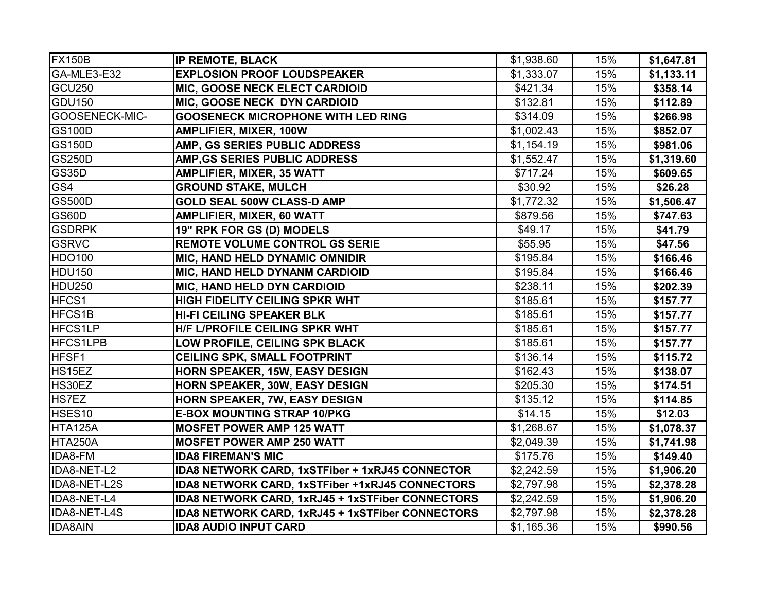| <b>FX150B</b>      | IP REMOTE, BLACK                                 | \$1,938.60 | 15% | \$1,647.81 |
|--------------------|--------------------------------------------------|------------|-----|------------|
| GA-MLE3-E32        | <b>EXPLOSION PROOF LOUDSPEAKER</b>               | \$1,333.07 | 15% | \$1,133.11 |
| GCU <sub>250</sub> | MIC, GOOSE NECK ELECT CARDIOID                   | \$421.34   | 15% | \$358.14   |
| GDU150             | MIC, GOOSE NECK DYN CARDIOID                     | \$132.81   | 15% | \$112.89   |
| GOOSENECK-MIC-     | <b>GOOSENECK MICROPHONE WITH LED RING</b>        | \$314.09   | 15% | \$266.98   |
| <b>GS100D</b>      | <b>AMPLIFIER, MIXER, 100W</b>                    | \$1,002.43 | 15% | \$852.07   |
| <b>GS150D</b>      | AMP, GS SERIES PUBLIC ADDRESS                    | \$1,154.19 | 15% | \$981.06   |
| GS250D             | AMP, GS SERIES PUBLIC ADDRESS                    | \$1,552.47 | 15% | \$1,319.60 |
| GS35D              | AMPLIFIER, MIXER, 35 WATT                        | \$717.24   | 15% | \$609.65   |
| GS4                | <b>GROUND STAKE, MULCH</b>                       | \$30.92    | 15% | \$26.28    |
| <b>GS500D</b>      | <b>GOLD SEAL 500W CLASS-D AMP</b>                | \$1,772.32 | 15% | \$1,506.47 |
| GS60D              | <b>AMPLIFIER, MIXER, 60 WATT</b>                 | \$879.56   | 15% | \$747.63   |
| <b>GSDRPK</b>      | 19" RPK FOR GS (D) MODELS                        | \$49.17    | 15% | \$41.79    |
| <b>GSRVC</b>       | <b>REMOTE VOLUME CONTROL GS SERIE</b>            | \$55.95    | 15% | \$47.56    |
| HDO100             | <b>MIC, HAND HELD DYNAMIC OMNIDIR</b>            | \$195.84   | 15% | \$166.46   |
| HDU150             | MIC, HAND HELD DYNANM CARDIOID                   | \$195.84   | 15% | \$166.46   |
| HDU250             | <b>MIC, HAND HELD DYN CARDIOID</b>               | \$238.11   | 15% | \$202.39   |
| HFCS1              | <b>HIGH FIDELITY CEILING SPKR WHT</b>            | \$185.61   | 15% | \$157.77   |
| HFCS <sub>1B</sub> | <b>HI-FI CEILING SPEAKER BLK</b>                 | \$185.61   | 15% | \$157.77   |
| <b>HFCS1LP</b>     | <b>H/F L/PROFILE CEILING SPKR WHT</b>            | \$185.61   | 15% | \$157.77   |
| <b>HFCS1LPB</b>    | LOW PROFILE, CEILING SPK BLACK                   | \$185.61   | 15% | \$157.77   |
| HFSF1              | <b>CEILING SPK, SMALL FOOTPRINT</b>              | \$136.14   | 15% | \$115.72   |
| HS15EZ             | HORN SPEAKER, 15W, EASY DESIGN                   | \$162.43   | 15% | \$138.07   |
| HS30EZ             | HORN SPEAKER, 30W, EASY DESIGN                   | \$205.30   | 15% | \$174.51   |
| HS7EZ              | HORN SPEAKER, 7W, EASY DESIGN                    | \$135.12   | 15% | \$114.85   |
| HSES <sub>10</sub> | <b>E-BOX MOUNTING STRAP 10/PKG</b>               | \$14.15    | 15% | \$12.03    |
| HTA125A            | <b>MOSFET POWER AMP 125 WATT</b>                 | \$1,268.67 | 15% | \$1,078.37 |
| HTA250A            | <b>MOSFET POWER AMP 250 WATT</b>                 | \$2,049.39 | 15% | \$1,741.98 |
| IDA8-FM            | <b>IDA8 FIREMAN'S MIC</b>                        | \$175.76   | 15% | \$149.40   |
| IDA8-NET-L2        | IDA8 NETWORK CARD, 1xSTFiber + 1xRJ45 CONNECTOR  | \$2,242.59 | 15% | \$1,906.20 |
| IDA8-NET-L2S       | IDA8 NETWORK CARD, 1xSTFiber +1xRJ45 CONNECTORS  | \$2,797.98 | 15% | \$2,378.28 |
| IDA8-NET-L4        | IDA8 NETWORK CARD, 1xRJ45 + 1xSTFiber CONNECTORS | \$2,242.59 | 15% | \$1,906.20 |
| IDA8-NET-L4S       | IDA8 NETWORK CARD, 1xRJ45 + 1xSTFiber CONNECTORS | \$2,797.98 | 15% | \$2,378.28 |
| <b>IDA8AIN</b>     | <b>IDA8 AUDIO INPUT CARD</b>                     | \$1,165.36 | 15% | \$990.56   |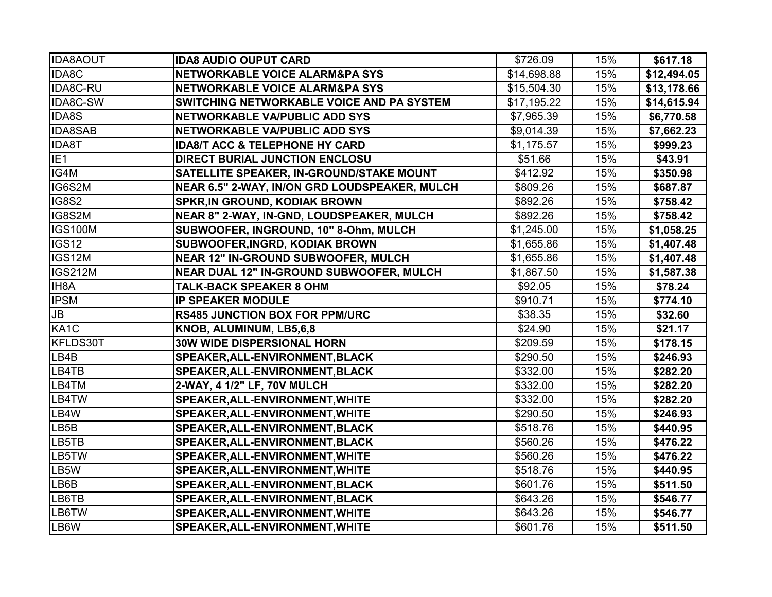| <b>IDA8AOUT</b>   | <b>IDA8 AUDIO OUPUT CARD</b>                    | \$726.09    | 15% | \$617.18    |
|-------------------|-------------------------------------------------|-------------|-----|-------------|
| IDA8C             | NETWORKABLE VOICE ALARM&PA SYS                  | \$14,698.88 | 15% | \$12,494.05 |
| IDA8C-RU          | NETWORKABLE VOICE ALARM&PA SYS                  | \$15,504.30 | 15% | \$13,178.66 |
| IDA8C-SW          | SWITCHING NETWORKABLE VOICE AND PA SYSTEM       | \$17,195.22 | 15% | \$14,615.94 |
| <b>IDA8S</b>      | NETWORKABLE VA/PUBLIC ADD SYS                   | \$7,965.39  | 15% | \$6,770.58  |
| <b>IDA8SAB</b>    | NETWORKABLE VA/PUBLIC ADD SYS                   | \$9,014.39  | 15% | \$7,662.23  |
| <b>IDA8T</b>      | <b>IDA8/T ACC &amp; TELEPHONE HY CARD</b>       | \$1,175.57  | 15% | \$999.23    |
| IE <sub>1</sub>   | <b>DIRECT BURIAL JUNCTION ENCLOSU</b>           | \$51.66     | 15% | \$43.91     |
| IG4M              | <b>SATELLITE SPEAKER, IN-GROUND/STAKE MOUNT</b> | \$412.92    | 15% | \$350.98    |
| IG6S2M            | NEAR 6.5" 2-WAY, IN/ON GRD LOUDSPEAKER, MULCH   | \$809.26    | 15% | \$687.87    |
| IG8S2             | <b>SPKR, IN GROUND, KODIAK BROWN</b>            | \$892.26    | 15% | \$758.42    |
| IG8S2M            | NEAR 8" 2-WAY, IN-GND, LOUDSPEAKER, MULCH       | \$892.26    | 15% | \$758.42    |
| <b>IGS100M</b>    | SUBWOOFER, INGROUND, 10" 8-Ohm, MULCH           | \$1,245.00  | 15% | \$1,058.25  |
| IGS <sub>12</sub> | <b>SUBWOOFER, INGRD, KODIAK BROWN</b>           | \$1,655.86  | 15% | \$1,407.48  |
| IGS12M            | <b>NEAR 12" IN-GROUND SUBWOOFER, MULCH</b>      | \$1,655.86  | 15% | \$1,407.48  |
| <b>IGS212M</b>    | NEAR DUAL 12" IN-GROUND SUBWOOFER, MULCH        | \$1,867.50  | 15% | \$1,587.38  |
| IH8A              | <b>TALK-BACK SPEAKER 8 OHM</b>                  | \$92.05     | 15% | \$78.24     |
| <b>IPSM</b>       | <b>IP SPEAKER MODULE</b>                        | \$910.71    | 15% | \$774.10    |
| <b>JB</b>         | <b>RS485 JUNCTION BOX FOR PPM/URC</b>           | \$38.35     | 15% | \$32.60     |
| KA <sub>1</sub> C | KNOB, ALUMINUM, LB5,6,8                         | \$24.90     | 15% | \$21.17     |
| KFLDS30T          | <b>30W WIDE DISPERSIONAL HORN</b>               | \$209.59    | 15% | \$178.15    |
| LB4B              | SPEAKER, ALL-ENVIRONMENT, BLACK                 | \$290.50    | 15% | \$246.93    |
| LB4TB             | SPEAKER, ALL-ENVIRONMENT, BLACK                 | \$332.00    | 15% | \$282.20    |
| LB4TM             | 2-WAY, 4 1/2" LF, 70V MULCH                     | \$332.00    | 15% | \$282.20    |
| LB4TW             | SPEAKER, ALL-ENVIRONMENT, WHITE                 | \$332.00    | 15% | \$282.20    |
| LB4W              | SPEAKER, ALL-ENVIRONMENT, WHITE                 | \$290.50    | 15% | \$246.93    |
| LB5B              | SPEAKER, ALL-ENVIRONMENT, BLACK                 | \$518.76    | 15% | \$440.95    |
| LB5TB             | SPEAKER, ALL-ENVIRONMENT, BLACK                 | \$560.26    | 15% | \$476.22    |
| LB5TW             | SPEAKER, ALL-ENVIRONMENT, WHITE                 | \$560.26    | 15% | \$476.22    |
| LB5W              | SPEAKER, ALL-ENVIRONMENT, WHITE                 | \$518.76    | 15% | \$440.95    |
| LB6B              | SPEAKER, ALL-ENVIRONMENT, BLACK                 | \$601.76    | 15% | \$511.50    |
| LB6TB             | SPEAKER, ALL-ENVIRONMENT, BLACK                 | \$643.26    | 15% | \$546.77    |
| LB6TW             | SPEAKER, ALL-ENVIRONMENT, WHITE                 | \$643.26    | 15% | \$546.77    |
| LB6W              | SPEAKER, ALL-ENVIRONMENT, WHITE                 | \$601.76    | 15% | \$511.50    |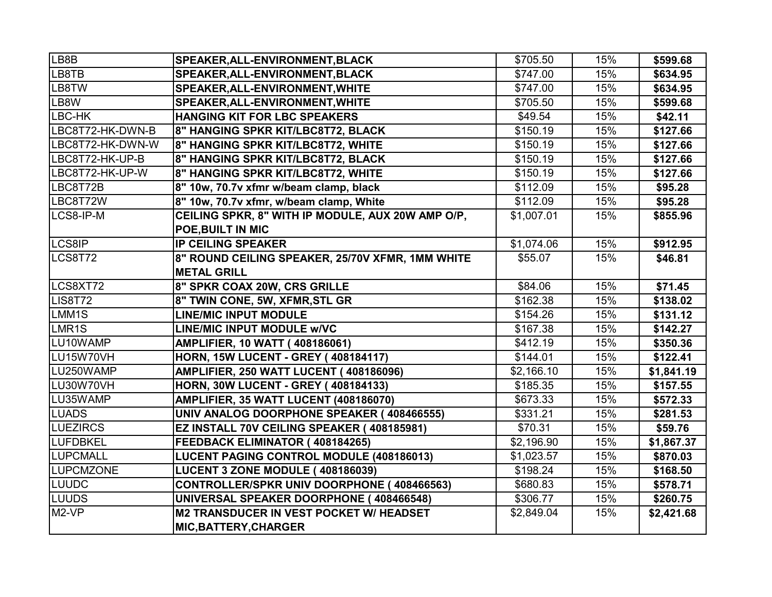| LB8B               | SPEAKER, ALL-ENVIRONMENT, BLACK                   | \$705.50   | 15% | \$599.68   |
|--------------------|---------------------------------------------------|------------|-----|------------|
| LB8TB              | SPEAKER, ALL-ENVIRONMENT, BLACK                   | \$747.00   | 15% | \$634.95   |
| LB8TW              | SPEAKER, ALL-ENVIRONMENT, WHITE                   | \$747.00   | 15% | \$634.95   |
| LB8W               | SPEAKER, ALL-ENVIRONMENT, WHITE                   | \$705.50   | 15% | \$599.68   |
| LBC-HK             | HANGING KIT FOR LBC SPEAKERS                      | \$49.54    | 15% | \$42.11    |
| LBC8T72-HK-DWN-B   | 8" HANGING SPKR KIT/LBC8T72, BLACK                | \$150.19   | 15% | \$127.66   |
| LBC8T72-HK-DWN-W   | 8" HANGING SPKR KIT/LBC8T72, WHITE                | \$150.19   | 15% | \$127.66   |
| LBC8T72-HK-UP-B    | 8" HANGING SPKR KIT/LBC8T72, BLACK                | \$150.19   | 15% | \$127.66   |
| LBC8T72-HK-UP-W    | 8" HANGING SPKR KIT/LBC8T72, WHITE                | \$150.19   | 15% | \$127.66   |
| LBC8T72B           | 8" 10w, 70.7v xfmr w/beam clamp, black            | \$112.09   | 15% | \$95.28    |
| LBC8T72W           | 8" 10w, 70.7v xfmr, w/beam clamp, White           | \$112.09   | 15% | \$95.28    |
| LCS8-IP-M          | CEILING SPKR, 8" WITH IP MODULE, AUX 20W AMP O/P, | \$1,007.01 | 15% | \$855.96   |
|                    | POE, BUILT IN MIC                                 |            |     |            |
| LCS8IP             | <b>IP CEILING SPEAKER</b>                         | \$1,074.06 | 15% | \$912.95   |
| LCS8T72            | 8" ROUND CEILING SPEAKER, 25/70V XFMR, 1MM WHITE  | \$55.07    | 15% | \$46.81    |
|                    | <b>METAL GRILL</b>                                |            |     |            |
| LCS8XT72           | 8" SPKR COAX 20W, CRS GRILLE                      | \$84.06    | 15% | \$71.45    |
| LIS8T72            | 8" TWIN CONE, 5W, XFMR, STL GR                    | \$162.38   | 15% | \$138.02   |
| LMM1S              | <b>LINE/MIC INPUT MODULE</b>                      | \$154.26   | 15% | \$131.12   |
| LMR1S              | LINE/MIC INPUT MODULE w/VC                        | \$167.38   | 15% | \$142.27   |
| LU10WAMP           | <b>AMPLIFIER, 10 WATT (408186061)</b>             | \$412.19   | 15% | \$350.36   |
| LU15W70VH          | <b>HORN, 15W LUCENT - GREY (408184117)</b>        | \$144.01   | 15% | \$122.41   |
| LU250WAMP          | <b>AMPLIFIER, 250 WATT LUCENT (408186096)</b>     | \$2,166.10 | 15% | \$1,841.19 |
| LU30W70VH          | <b>HORN, 30W LUCENT - GREY (408184133)</b>        | \$185.35   | 15% | \$157.55   |
| LU35WAMP           | AMPLIFIER, 35 WATT LUCENT (408186070)             | \$673.33   | 15% | \$572.33   |
| <b>LUADS</b>       | UNIV ANALOG DOORPHONE SPEAKER (408466555)         | \$331.21   | 15% | \$281.53   |
| <b>LUEZIRCS</b>    | EZ INSTALL 70V CEILING SPEAKER (408185981)        | \$70.31    | 15% | \$59.76    |
| LUFDBKEL           | FEEDBACK ELIMINATOR (408184265)                   | \$2,196.90 | 15% | \$1,867.37 |
| LUPCMALL           | <b>LUCENT PAGING CONTROL MODULE (408186013)</b>   | \$1,023.57 | 15% | \$870.03   |
| <b>LUPCMZONE</b>   | LUCENT 3 ZONE MODULE (408186039)                  | \$198.24   | 15% | \$168.50   |
| LUUDC              | CONTROLLER/SPKR UNIV DOORPHONE (408466563)        | \$680.83   | 15% | \$578.71   |
| LUUDS              | UNIVERSAL SPEAKER DOORPHONE (408466548)           | \$306.77   | 15% | \$260.75   |
| M <sub>2</sub> -VP | M2 TRANSDUCER IN VEST POCKET W/ HEADSET           | \$2,849.04 | 15% | \$2,421.68 |
|                    | <b>MIC, BATTERY, CHARGER</b>                      |            |     |            |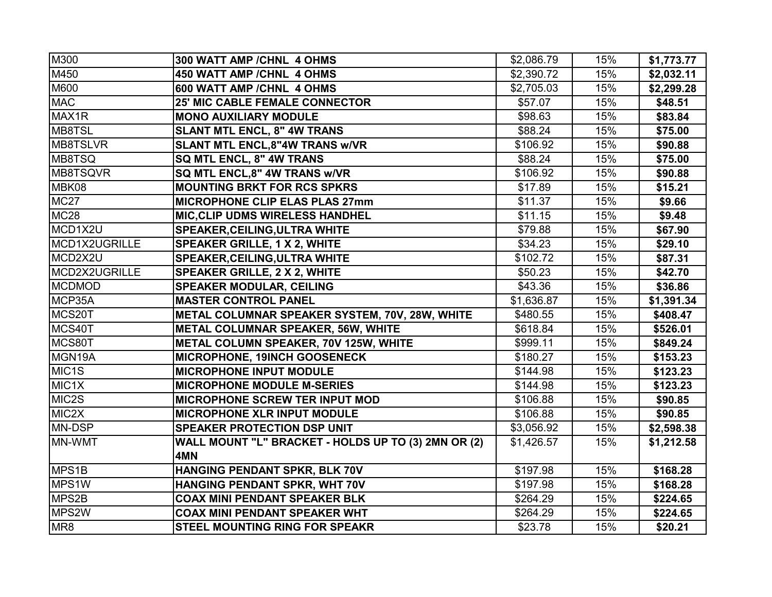| M300                | 300 WATT AMP / CHNL 4 OHMS                          | \$2,086.79 | 15% | \$1,773.77 |
|---------------------|-----------------------------------------------------|------------|-----|------------|
| M450                | 450 WATT AMP / CHNL 4 OHMS                          | \$2,390.72 | 15% | \$2,032.11 |
| M600                | 600 WATT AMP / CHNL 4 OHMS                          | \$2,705.03 | 15% | \$2,299.28 |
| <b>MAC</b>          | <b>25' MIC CABLE FEMALE CONNECTOR</b>               | \$57.07    | 15% | \$48.51    |
| MAX1R               | <b>MONO AUXILIARY MODULE</b>                        | \$98.63    | 15% | \$83.84    |
| MB8TSL              | <b>SLANT MTL ENCL, 8" 4W TRANS</b>                  | \$88.24    | 15% | \$75.00    |
| MB8TSLVR            | <b>SLANT MTL ENCL, 8"4W TRANS w/VR</b>              | \$106.92   | 15% | \$90.88    |
| MB8TSQ              | SQ MTL ENCL, 8" 4W TRANS                            | \$88.24    | 15% | \$75.00    |
| MB8TSQVR            | SQ MTL ENCL, 8" 4W TRANS w/VR                       | \$106.92   | 15% | \$90.88    |
| MBK08               | <b>MOUNTING BRKT FOR RCS SPKRS</b>                  | \$17.89    | 15% | \$15.21    |
| <b>MC27</b>         | <b>MICROPHONE CLIP ELAS PLAS 27mm</b>               | \$11.37    | 15% | \$9.66     |
| <b>MC28</b>         | <b>MIC, CLIP UDMS WIRELESS HANDHEL</b>              | \$11.15    | 15% | \$9.48     |
| MCD1X2U             | <b>SPEAKER, CEILING, ULTRA WHITE</b>                | \$79.88    | 15% | \$67.90    |
| MCD1X2UGRILLE       | <b>SPEAKER GRILLE, 1 X 2, WHITE</b>                 | \$34.23    | 15% | \$29.10    |
| MCD2X2U             | <b>SPEAKER, CEILING, ULTRA WHITE</b>                | \$102.72   | 15% | \$87.31    |
| MCD2X2UGRILLE       | <b>SPEAKER GRILLE, 2 X 2, WHITE</b>                 | \$50.23    | 15% | \$42.70    |
| <b>MCDMOD</b>       | <b>SPEAKER MODULAR, CEILING</b>                     | \$43.36    | 15% | \$36.86    |
| MCP35A              | <b>MASTER CONTROL PANEL</b>                         | \$1,636.87 | 15% | \$1,391.34 |
| MCS20T              | METAL COLUMNAR SPEAKER SYSTEM, 70V, 28W, WHITE      | \$480.55   | 15% | \$408.47   |
| MCS40T              | METAL COLUMNAR SPEAKER, 56W, WHITE                  | \$618.84   | 15% | \$526.01   |
| MCS80T              | METAL COLUMN SPEAKER, 70V 125W, WHITE               | \$999.11   | 15% | \$849.24   |
| MGN <sub>19</sub> A | MICROPHONE, 19INCH GOOSENECK                        | \$180.27   | 15% | \$153.23   |
| MIC <sub>1</sub> S  | <b>MICROPHONE INPUT MODULE</b>                      | \$144.98   | 15% | \$123.23   |
| MIC1X               | <b>MICROPHONE MODULE M-SERIES</b>                   | \$144.98   | 15% | \$123.23   |
| MIC2S               | <b>MICROPHONE SCREW TER INPUT MOD</b>               | \$106.88   | 15% | \$90.85    |
| MIC2X               | <b>MICROPHONE XLR INPUT MODULE</b>                  | \$106.88   | 15% | \$90.85    |
| MN-DSP              | <b>SPEAKER PROTECTION DSP UNIT</b>                  | \$3,056.92 | 15% | \$2,598.38 |
| MN-WMT              | WALL MOUNT "L" BRACKET - HOLDS UP TO (3) 2MN OR (2) | \$1,426.57 | 15% | \$1,212.58 |
|                     | 4MN                                                 |            |     |            |
| MPS1B               | HANGING PENDANT SPKR, BLK 70V                       | \$197.98   | 15% | \$168.28   |
| MPS <sub>1</sub> W  | HANGING PENDANT SPKR, WHT 70V                       | \$197.98   | 15% | \$168.28   |
| MPS2B               | <b>COAX MINI PENDANT SPEAKER BLK</b>                | \$264.29   | 15% | \$224.65   |
| MPS2W               | <b>COAX MINI PENDANT SPEAKER WHT</b>                | \$264.29   | 15% | \$224.65   |
| MR8                 | <b>STEEL MOUNTING RING FOR SPEAKR</b>               | \$23.78    | 15% | \$20.21    |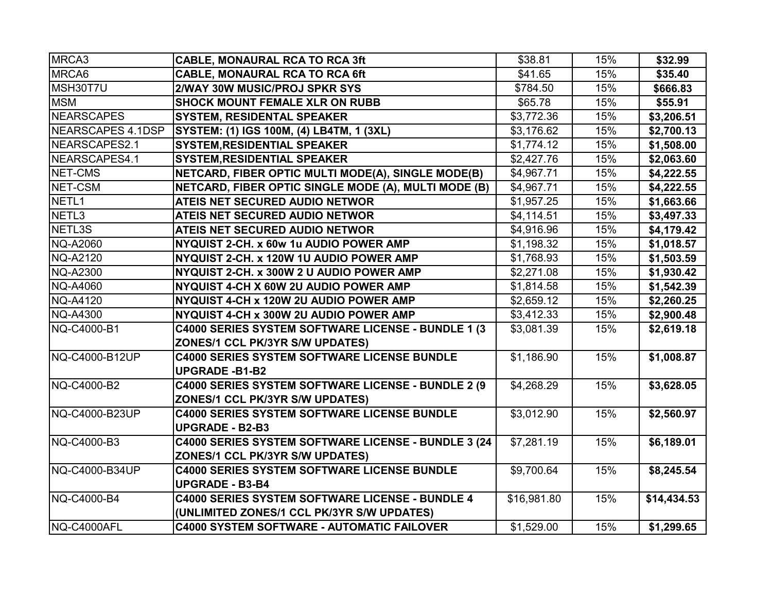| MRCA3             | <b>CABLE, MONAURAL RCA TO RCA 3ft</b>                | \$38.81     | 15% | \$32.99     |
|-------------------|------------------------------------------------------|-------------|-----|-------------|
| MRCA6             | <b>CABLE, MONAURAL RCA TO RCA 6ft</b>                | \$41.65     | 15% | \$35.40     |
| MSH30T7U          | 2/WAY 30W MUSIC/PROJ SPKR SYS                        | \$784.50    | 15% | \$666.83    |
| <b>MSM</b>        | <b>SHOCK MOUNT FEMALE XLR ON RUBB</b>                | \$65.78     | 15% | \$55.91     |
| <b>NEARSCAPES</b> | <b>SYSTEM, RESIDENTAL SPEAKER</b>                    | \$3,772.36  | 15% | \$3,206.51  |
| NEARSCAPES 4.1DSP | SYSTEM: (1) IGS 100M, (4) LB4TM, 1 (3XL)             | \$3,176.62  | 15% | \$2,700.13  |
| NEARSCAPES2.1     | <b>SYSTEM, RESIDENTIAL SPEAKER</b>                   | \$1,774.12  | 15% | \$1,508.00  |
| NEARSCAPES4.1     | <b>SYSTEM, RESIDENTIAL SPEAKER</b>                   | \$2,427.76  | 15% | \$2,063.60  |
| NET-CMS           | NETCARD, FIBER OPTIC MULTI MODE(A), SINGLE MODE(B)   | \$4,967.71  | 15% | \$4,222.55  |
| NET-CSM           | NETCARD, FIBER OPTIC SINGLE MODE (A), MULTI MODE (B) | \$4,967.71  | 15% | \$4,222.55  |
| NETL <sub>1</sub> | ATEIS NET SECURED AUDIO NETWOR                       | \$1,957.25  | 15% | \$1,663.66  |
| NETL3             | ATEIS NET SECURED AUDIO NETWOR                       | \$4,114.51  | 15% | \$3,497.33  |
| NETL3S            | ATEIS NET SECURED AUDIO NETWOR                       | \$4,916.96  | 15% | \$4,179.42  |
| <b>NQ-A2060</b>   | NYQUIST 2-CH. x 60w 1u AUDIO POWER AMP               | \$1,198.32  | 15% | \$1,018.57  |
| <b>NQ-A2120</b>   | NYQUIST 2-CH. x 120W 1U AUDIO POWER AMP              | \$1,768.93  | 15% | \$1,503.59  |
| <b>NQ-A2300</b>   | NYQUIST 2-CH. x 300W 2 U AUDIO POWER AMP             | \$2,271.08  | 15% | \$1,930.42  |
| <b>NQ-A4060</b>   | NYQUIST 4-CH X 60W 2U AUDIO POWER AMP                | \$1,814.58  | 15% | \$1,542.39  |
| <b>NQ-A4120</b>   | NYQUIST 4-CH x 120W 2U AUDIO POWER AMP               | \$2,659.12  | 15% | \$2,260.25  |
| <b>NQ-A4300</b>   | NYQUIST 4-CH x 300W 2U AUDIO POWER AMP               | \$3,412.33  | 15% | \$2,900.48  |
| NQ-C4000-B1       | C4000 SERIES SYSTEM SOFTWARE LICENSE - BUNDLE 1 (3   | \$3,081.39  | 15% | \$2,619.18  |
|                   | <b>ZONES/1 CCL PK/3YR S/W UPDATES)</b>               |             |     |             |
| NQ-C4000-B12UP    | <b>C4000 SERIES SYSTEM SOFTWARE LICENSE BUNDLE</b>   | \$1,186.90  | 15% | \$1,008.87  |
|                   | <b>UPGRADE -B1-B2</b>                                |             |     |             |
| NQ-C4000-B2       | C4000 SERIES SYSTEM SOFTWARE LICENSE - BUNDLE 2 (9   | \$4,268.29  | 15% | \$3,628.05  |
|                   | <b>ZONES/1 CCL PK/3YR S/W UPDATES)</b>               |             |     |             |
| NQ-C4000-B23UP    | C4000 SERIES SYSTEM SOFTWARE LICENSE BUNDLE          | \$3,012.90  | 15% | \$2,560.97  |
|                   | <b>UPGRADE - B2-B3</b>                               |             |     |             |
| NQ-C4000-B3       | C4000 SERIES SYSTEM SOFTWARE LICENSE - BUNDLE 3 (24  | \$7,281.19  | 15% | \$6,189.01  |
|                   | <b>ZONES/1 CCL PK/3YR S/W UPDATES)</b>               |             |     |             |
| NQ-C4000-B34UP    | <b>C4000 SERIES SYSTEM SOFTWARE LICENSE BUNDLE</b>   | \$9,700.64  | 15% | \$8,245.54  |
|                   | <b>UPGRADE - B3-B4</b>                               |             |     |             |
| NQ-C4000-B4       | C4000 SERIES SYSTEM SOFTWARE LICENSE - BUNDLE 4      | \$16,981.80 | 15% | \$14,434.53 |
|                   | (UNLIMITED ZONES/1 CCL PK/3YR S/W UPDATES)           |             |     |             |
| NQ-C4000AFL       | <b>C4000 SYSTEM SOFTWARE - AUTOMATIC FAILOVER</b>    | \$1,529.00  | 15% | \$1,299.65  |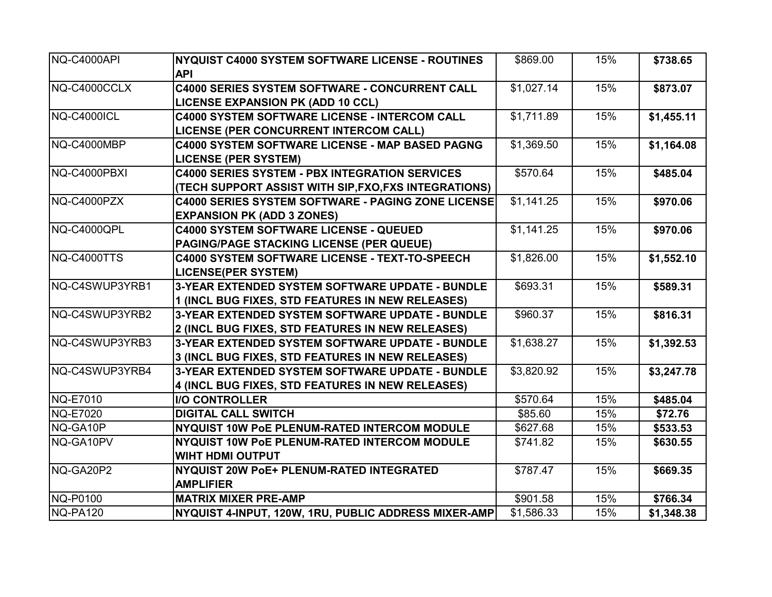| NQ-C4000API            | NYQUIST C4000 SYSTEM SOFTWARE LICENSE - ROUTINES          | \$869.00   | 15% | \$738.65   |
|------------------------|-----------------------------------------------------------|------------|-----|------------|
|                        | <b>API</b>                                                |            |     |            |
| NQ-C4000CCLX           | <b>C4000 SERIES SYSTEM SOFTWARE - CONCURRENT CALL</b>     | \$1,027.14 | 15% | \$873.07   |
|                        | <b>LICENSE EXPANSION PK (ADD 10 CCL)</b>                  |            |     |            |
| NQ-C4000ICL            | <b>C4000 SYSTEM SOFTWARE LICENSE - INTERCOM CALL</b>      | \$1,711.89 | 15% | \$1,455.11 |
|                        | LICENSE (PER CONCURRENT INTERCOM CALL)                    |            |     |            |
| NQ-C4000MBP            | C4000 SYSTEM SOFTWARE LICENSE - MAP BASED PAGNG           | \$1,369.50 | 15% | \$1,164.08 |
|                        | <b>LICENSE (PER SYSTEM)</b>                               |            |     |            |
| NQ-C4000PBXI           | <b>C4000 SERIES SYSTEM - PBX INTEGRATION SERVICES</b>     | \$570.64   | 15% | \$485.04   |
|                        | (TECH SUPPORT ASSIST WITH SIP, FXO, FXS INTEGRATIONS)     |            |     |            |
| NQ-C4000PZX            | <b>C4000 SERIES SYSTEM SOFTWARE - PAGING ZONE LICENSE</b> | \$1,141.25 | 15% | \$970.06   |
|                        | <b>EXPANSION PK (ADD 3 ZONES)</b>                         |            |     |            |
| NQ-C4000QPL            | <b>C4000 SYSTEM SOFTWARE LICENSE - QUEUED</b>             | \$1,141.25 | 15% | \$970.06   |
|                        | <b>PAGING/PAGE STACKING LICENSE (PER QUEUE)</b>           |            |     |            |
| NQ-C4000TTS            | C4000 SYSTEM SOFTWARE LICENSE - TEXT-TO-SPEECH            | \$1,826.00 | 15% | \$1,552.10 |
|                        | <b>LICENSE(PER SYSTEM)</b>                                |            |     |            |
| INQ-C4SWUP3YRB1        | 3-YEAR EXTENDED SYSTEM SOFTWARE UPDATE - BUNDLE           | \$693.31   | 15% | \$589.31   |
|                        | 1 (INCL BUG FIXES, STD FEATURES IN NEW RELEASES)          |            |     |            |
| INQ-C4SWUP3YRB2        | 3-YEAR EXTENDED SYSTEM SOFTWARE UPDATE - BUNDLE           | \$960.37   | 15% | \$816.31   |
|                        | 2 (INCL BUG FIXES, STD FEATURES IN NEW RELEASES)          |            |     |            |
| NQ-C4SWUP3YRB3         | 3-YEAR EXTENDED SYSTEM SOFTWARE UPDATE - BUNDLE           | \$1,638.27 | 15% | \$1,392.53 |
|                        | 3 (INCL BUG FIXES, STD FEATURES IN NEW RELEASES)          |            |     |            |
| <b>INQ-C4SWUP3YRB4</b> | 3-YEAR EXTENDED SYSTEM SOFTWARE UPDATE - BUNDLE           | \$3,820.92 | 15% | \$3,247.78 |
|                        | 4 (INCL BUG FIXES, STD FEATURES IN NEW RELEASES)          |            |     |            |
| <b>NQ-E7010</b>        | <b>I/O CONTROLLER</b>                                     | \$570.64   | 15% | \$485.04   |
| <b>NQ-E7020</b>        | <b>DIGITAL CALL SWITCH</b>                                | \$85.60    | 15% | \$72.76    |
| NQ-GA10P               | <b>NYQUIST 10W POE PLENUM-RATED INTERCOM MODULE</b>       | \$627.68   | 15% | \$533.53   |
| NQ-GA10PV              | NYQUIST 10W PoE PLENUM-RATED INTERCOM MODULE              | \$741.82   | 15% | \$630.55   |
|                        | <b>WIHT HDMI OUTPUT</b>                                   |            |     |            |
| NQ-GA20P2              | NYQUIST 20W PoE+ PLENUM-RATED INTEGRATED                  | \$787.47   | 15% | \$669.35   |
|                        | <b>AMPLIFIER</b>                                          |            |     |            |
| NQ-P0100               | <b>MATRIX MIXER PRE-AMP</b>                               | \$901.58   | 15% | \$766.34   |
| NQ-PA120               | NYQUIST 4-INPUT, 120W, 1RU, PUBLIC ADDRESS MIXER-AMP      | \$1,586.33 | 15% | \$1,348.38 |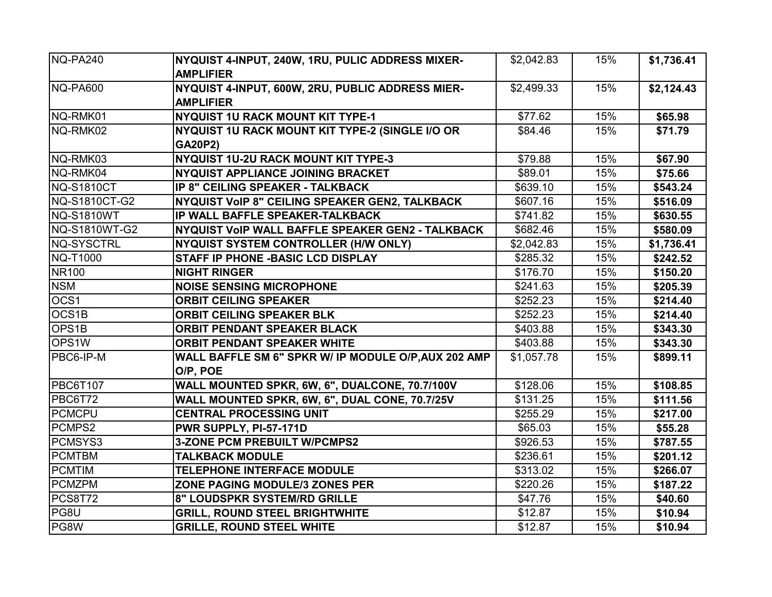| NQ-PA240          | NYQUIST 4-INPUT, 240W, 1RU, PULIC ADDRESS MIXER-     | \$2,042.83 | 15% | \$1,736.41 |
|-------------------|------------------------------------------------------|------------|-----|------------|
|                   | <b>AMPLIFIER</b>                                     |            |     |            |
| NQ-PA600          | NYQUIST 4-INPUT, 600W, 2RU, PUBLIC ADDRESS MIER-     | \$2,499.33 | 15% | \$2,124.43 |
|                   | <b>AMPLIFIER</b>                                     |            |     |            |
| NQ-RMK01          | NYQUIST 1U RACK MOUNT KIT TYPE-1                     | \$77.62    | 15% | \$65.98    |
| NQ-RMK02          | NYQUIST 1U RACK MOUNT KIT TYPE-2 (SINGLE I/O OR      | \$84.46    | 15% | \$71.79    |
|                   | <b>GA20P2)</b>                                       |            |     |            |
| NQ-RMK03          | NYQUIST 1U-2U RACK MOUNT KIT TYPE-3                  | \$79.88    | 15% | \$67.90    |
| NQ-RMK04          | <b>NYQUIST APPLIANCE JOINING BRACKET</b>             | \$89.01    | 15% | \$75.66    |
| <b>NQ-S1810CT</b> | IP 8" CEILING SPEAKER - TALKBACK                     | \$639.10   | 15% | \$543.24   |
| NQ-S1810CT-G2     | NYQUIST VOIP 8" CEILING SPEAKER GEN2, TALKBACK       | \$607.16   | 15% | \$516.09   |
| <b>NQ-S1810WT</b> | IP WALL BAFFLE SPEAKER-TALKBACK                      | \$741.82   | 15% | \$630.55   |
| NQ-S1810WT-G2     | NYQUIST VOIP WALL BAFFLE SPEAKER GEN2 - TALKBACK     | \$682.46   | 15% | \$580.09   |
| <b>NQ-SYSCTRL</b> | NYQUIST SYSTEM CONTROLLER (H/W ONLY)                 | \$2,042.83 | 15% | \$1,736.41 |
| NQ-T1000          | <b>STAFF IP PHONE - BASIC LCD DISPLAY</b>            | \$285.32   | 15% | \$242.52   |
| <b>NR100</b>      | <b>NIGHT RINGER</b>                                  | \$176.70   | 15% | \$150.20   |
| <b>NSM</b>        | <b>NOISE SENSING MICROPHONE</b>                      | \$241.63   | 15% | \$205.39   |
| OCS1              | <b>ORBIT CEILING SPEAKER</b>                         | \$252.23   | 15% | \$214.40   |
| OCS1B             | <b>ORBIT CEILING SPEAKER BLK</b>                     | \$252.23   | 15% | \$214.40   |
| OPS1B             | <b>ORBIT PENDANT SPEAKER BLACK</b>                   | \$403.88   | 15% | \$343.30   |
| OPS1W             | <b>ORBIT PENDANT SPEAKER WHITE</b>                   | \$403.88   | 15% | \$343.30   |
| PBC6-IP-M         | WALL BAFFLE SM 6" SPKR W/ IP MODULE O/P, AUX 202 AMP | \$1,057.78 | 15% | \$899.11   |
|                   | O/P, POE                                             |            |     |            |
| <b>PBC6T107</b>   | WALL MOUNTED SPKR, 6W, 6", DUALCONE, 70.7/100V       | \$128.06   | 15% | \$108.85   |
| <b>PBC6T72</b>    | WALL MOUNTED SPKR, 6W, 6", DUAL CONE, 70.7/25V       | \$131.25   | 15% | \$111.56   |
| <b>PCMCPU</b>     | <b>CENTRAL PROCESSING UNIT</b>                       | \$255.29   | 15% | \$217.00   |
| PCMPS2            | PWR SUPPLY, PI-57-171D                               | \$65.03    | 15% | \$55.28    |
| PCMSYS3           | <b>3-ZONE PCM PREBUILT W/PCMPS2</b>                  | \$926.53   | 15% | \$787.55   |
| <b>PCMTBM</b>     | <b>TALKBACK MODULE</b>                               | \$236.61   | 15% | \$201.12   |
| <b>PCMTIM</b>     | <b>TELEPHONE INTERFACE MODULE</b>                    | \$313.02   | 15% | \$266.07   |
| <b>PCMZPM</b>     | ZONE PAGING MODULE/3 ZONES PER                       | \$220.26   | 15% | \$187.22   |
| <b>PCS8T72</b>    | 8" LOUDSPKR SYSTEM/RD GRILLE                         | \$47.76    | 15% | \$40.60    |
| PG8U              | <b>GRILL, ROUND STEEL BRIGHTWHITE</b>                | \$12.87    | 15% | \$10.94    |
| PG8W              | <b>GRILLE, ROUND STEEL WHITE</b>                     | \$12.87    | 15% | \$10.94    |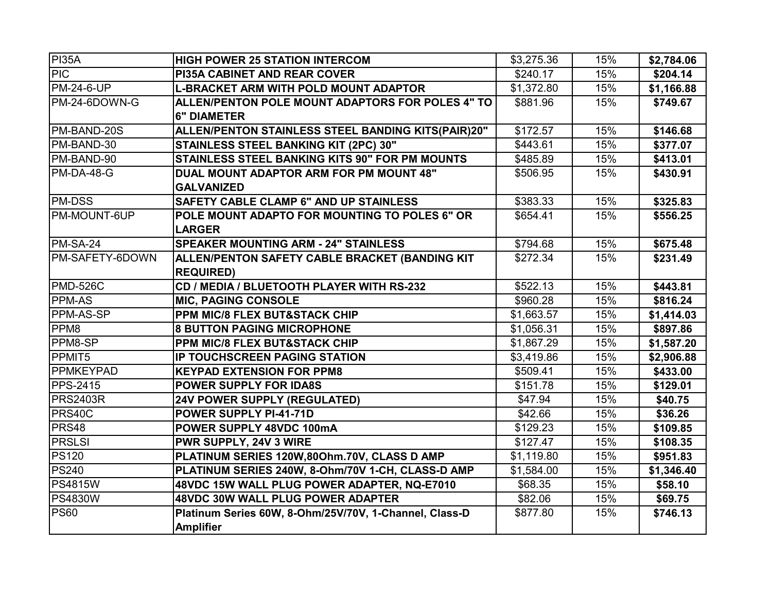| <b>PI35A</b>      | <b>HIGH POWER 25 STATION INTERCOM</b>                  | \$3,275.36 | 15% | \$2,784.06 |
|-------------------|--------------------------------------------------------|------------|-----|------------|
| <b>PIC</b>        | <b>PI35A CABINET AND REAR COVER</b>                    | \$240.17   | 15% | \$204.14   |
| <b>PM-24-6-UP</b> | L-BRACKET ARM WITH POLD MOUNT ADAPTOR                  | \$1,372.80 | 15% | \$1,166.88 |
| PM-24-6DOWN-G     | ALLEN/PENTON POLE MOUNT ADAPTORS FOR POLES 4" TO       | \$881.96   | 15% | \$749.67   |
|                   | <b>6" DIAMETER</b>                                     |            |     |            |
| PM-BAND-20S       | ALLEN/PENTON STAINLESS STEEL BANDING KITS(PAIR)20"     | \$172.57   | 15% | \$146.68   |
| PM-BAND-30        | <b>STAINLESS STEEL BANKING KIT (2PC) 30"</b>           | \$443.61   | 15% | \$377.07   |
| PM-BAND-90        | <b>STAINLESS STEEL BANKING KITS 90" FOR PM MOUNTS</b>  | \$485.89   | 15% | \$413.01   |
| PM-DA-48-G        | DUAL MOUNT ADAPTOR ARM FOR PM MOUNT 48"                | \$506.95   | 15% | \$430.91   |
|                   | <b>GALVANIZED</b>                                      |            |     |            |
| <b>PM-DSS</b>     | <b>SAFETY CABLE CLAMP 6" AND UP STAINLESS</b>          | \$383.33   | 15% | \$325.83   |
| PM-MOUNT-6UP      | POLE MOUNT ADAPTO FOR MOUNTING TO POLES 6" OR          | \$654.41   | 15% | \$556.25   |
|                   | <b>LARGER</b>                                          |            |     |            |
| PM-SA-24          | <b>SPEAKER MOUNTING ARM - 24" STAINLESS</b>            | \$794.68   | 15% | \$675.48   |
| PM-SAFETY-6DOWN   | ALLEN/PENTON SAFETY CABLE BRACKET (BANDING KIT         | \$272.34   | 15% | \$231.49   |
|                   | <b>REQUIRED)</b>                                       |            |     |            |
| <b>PMD-526C</b>   | CD / MEDIA / BLUETOOTH PLAYER WITH RS-232              | \$522.13   | 15% | \$443.81   |
| <b>PPM-AS</b>     | <b>MIC, PAGING CONSOLE</b>                             | \$960.28   | 15% | \$816.24   |
| PPM-AS-SP         | <b>PPM MIC/8 FLEX BUT&amp;STACK CHIP</b>               | \$1,663.57 | 15% | \$1,414.03 |
| PPM8              | <b>8 BUTTON PAGING MICROPHONE</b>                      | \$1,056.31 | 15% | \$897.86   |
| PPM8-SP           | <b>PPM MIC/8 FLEX BUT&amp;STACK CHIP</b>               | \$1,867.29 | 15% | \$1,587.20 |
| PPMIT5            | IP TOUCHSCREEN PAGING STATION                          | \$3,419.86 | 15% | \$2,906.88 |
| <b>PPMKEYPAD</b>  | <b>KEYPAD EXTENSION FOR PPM8</b>                       | \$509.41   | 15% | \$433.00   |
| <b>PPS-2415</b>   | <b>POWER SUPPLY FOR IDA8S</b>                          | \$151.78   | 15% | \$129.01   |
| <b>PRS2403R</b>   | <b>24V POWER SUPPLY (REGULATED)</b>                    | \$47.94    | 15% | \$40.75    |
| PRS40C            | <b>POWER SUPPLY PI-41-71D</b>                          | \$42.66    | 15% | \$36.26    |
| <b>PRS48</b>      | POWER SUPPLY 48VDC 100mA                               | \$129.23   | 15% | \$109.85   |
| <b>PRSLSI</b>     | <b>PWR SUPPLY, 24V 3 WIRE</b>                          | \$127.47   | 15% | \$108.35   |
| <b>PS120</b>      | PLATINUM SERIES 120W,80Ohm.70V, CLASS D AMP            | \$1,119.80 | 15% | \$951.83   |
| <b>PS240</b>      | PLATINUM SERIES 240W, 8-Ohm/70V 1-CH, CLASS-D AMP      | \$1,584.00 | 15% | \$1,346.40 |
| <b>PS4815W</b>    | 48VDC 15W WALL PLUG POWER ADAPTER, NQ-E7010            | \$68.35    | 15% | \$58.10    |
| <b>PS4830W</b>    | 48VDC 30W WALL PLUG POWER ADAPTER                      | \$82.06    | 15% | \$69.75    |
| <b>PS60</b>       | Platinum Series 60W, 8-Ohm/25V/70V, 1-Channel, Class-D | \$877.80   | 15% | \$746.13   |
|                   | <b>Amplifier</b>                                       |            |     |            |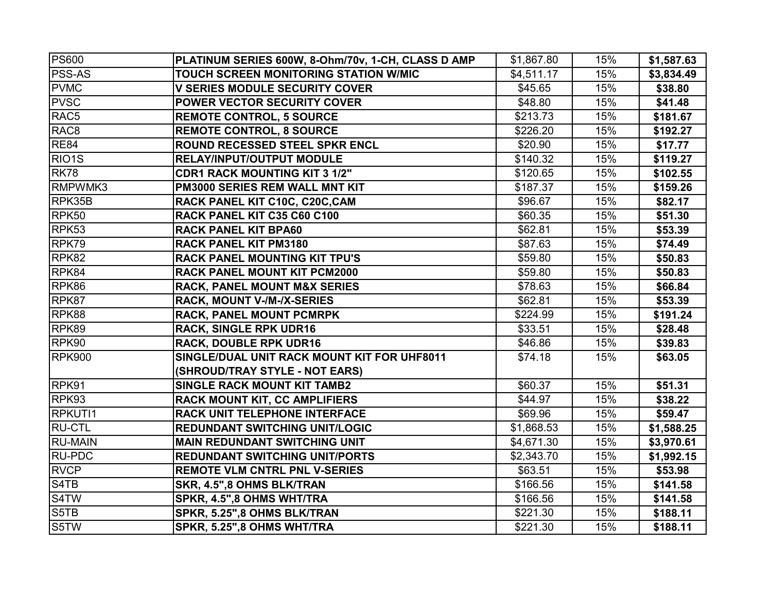| <b>PS600</b>                  | PLATINUM SERIES 600W, 8-Ohm/70v, 1-CH, CLASS D AMP | \$1,867.80 | 15% | \$1,587.63 |
|-------------------------------|----------------------------------------------------|------------|-----|------------|
| <b>PSS-AS</b>                 | TOUCH SCREEN MONITORING STATION W/MIC              | \$4,511.17 | 15% | \$3,834.49 |
| <b>PVMC</b>                   | <b>V SERIES MODULE SECURITY COVER</b>              | \$45.65    | 15% | \$38.80    |
| <b>PVSC</b>                   | <b>POWER VECTOR SECURITY COVER</b>                 | \$48.80    | 15% | \$41.48    |
| RAC <sub>5</sub>              | <b>REMOTE CONTROL, 5 SOURCE</b>                    | \$213.73   | 15% | \$181.67   |
| RAC <sub>8</sub>              | <b>REMOTE CONTROL, 8 SOURCE</b>                    | \$226.20   | 15% | \$192.27   |
| <b>RE84</b>                   | ROUND RECESSED STEEL SPKR ENCL                     | \$20.90    | 15% | \$17.77    |
| RIO <sub>1</sub> S            | <b>RELAY/INPUT/OUTPUT MODULE</b>                   | \$140.32   | 15% | \$119.27   |
| <b>RK78</b>                   | <b>CDR1 RACK MOUNTING KIT 3 1/2"</b>               | \$120.65   | 15% | \$102.55   |
| RMPWMK3                       | PM3000 SERIES REM WALL MNT KIT                     | \$187.37   | 15% | \$159.26   |
| RPK35B                        | RACK PANEL KIT C10C, C20C, CAM                     | \$96.67    | 15% | \$82.17    |
| RPK50                         | RACK PANEL KIT C35 C60 C100                        | \$60.35    | 15% | \$51.30    |
| RPK <sub>53</sub>             | <b>RACK PANEL KIT BPA60</b>                        | \$62.81    | 15% | \$53.39    |
| RPK79                         | <b>RACK PANEL KIT PM3180</b>                       | \$87.63    | 15% | \$74.49    |
| RPK82                         | <b>RACK PANEL MOUNTING KIT TPU'S</b>               | \$59.80    | 15% | \$50.83    |
| RPK84                         | <b>RACK PANEL MOUNT KIT PCM2000</b>                | \$59.80    | 15% | \$50.83    |
| RPK86                         | <b>RACK, PANEL MOUNT M&amp;X SERIES</b>            | \$78.63    | 15% | \$66.84    |
| RPK87                         | RACK, MOUNT V-/M-/X-SERIES                         | \$62.81    | 15% | \$53.39    |
| RPK88                         | RACK, PANEL MOUNT PCMRPK                           | \$224.99   | 15% | \$191.24   |
| RPK89                         | <b>RACK, SINGLE RPK UDR16</b>                      | \$33.51    | 15% | \$28.48    |
| RPK90                         | <b>RACK, DOUBLE RPK UDR16</b>                      | \$46.86    | 15% | \$39.83    |
| <b>RPK900</b>                 | SINGLE/DUAL UNIT RACK MOUNT KIT FOR UHF8011        | \$74.18    | 15% | \$63.05    |
|                               | (SHROUD/TRAY STYLE - NOT EARS)                     |            |     |            |
| RPK91                         | <b>SINGLE RACK MOUNT KIT TAMB2</b>                 | \$60.37    | 15% | \$51.31    |
| RPK93                         | <b>RACK MOUNT KIT, CC AMPLIFIERS</b>               | \$44.97    | 15% | \$38.22    |
| RPKUTI1                       | RACK UNIT TELEPHONE INTERFACE                      | \$69.96    | 15% | \$59.47    |
| <b>RU-CTL</b>                 | <b>REDUNDANT SWITCHING UNIT/LOGIC</b>              | \$1,868.53 | 15% | \$1,588.25 |
| <b>RU-MAIN</b>                | <b>MAIN REDUNDANT SWITCHING UNIT</b>               | \$4,671.30 | 15% | \$3,970.61 |
| <b>RU-PDC</b>                 | <b>REDUNDANT SWITCHING UNIT/PORTS</b>              | \$2,343.70 | 15% | \$1,992.15 |
| <b>RVCP</b>                   | <b>REMOTE VLM CNTRL PNL V-SERIES</b>               | \$63.51    | 15% | \$53.98    |
| S <sub>4</sub> T <sub>B</sub> | SKR, 4.5",8 OHMS BLK/TRAN                          | \$166.56   | 15% | \$141.58   |
| S4TW                          | SPKR, 4.5",8 OHMS WHT/TRA                          | \$166.56   | 15% | \$141.58   |
| S5TB                          | SPKR, 5.25",8 OHMS BLK/TRAN                        | \$221.30   | 15% | \$188.11   |
| S5TW                          | SPKR, 5.25",8 OHMS WHT/TRA                         | \$221.30   | 15% | \$188.11   |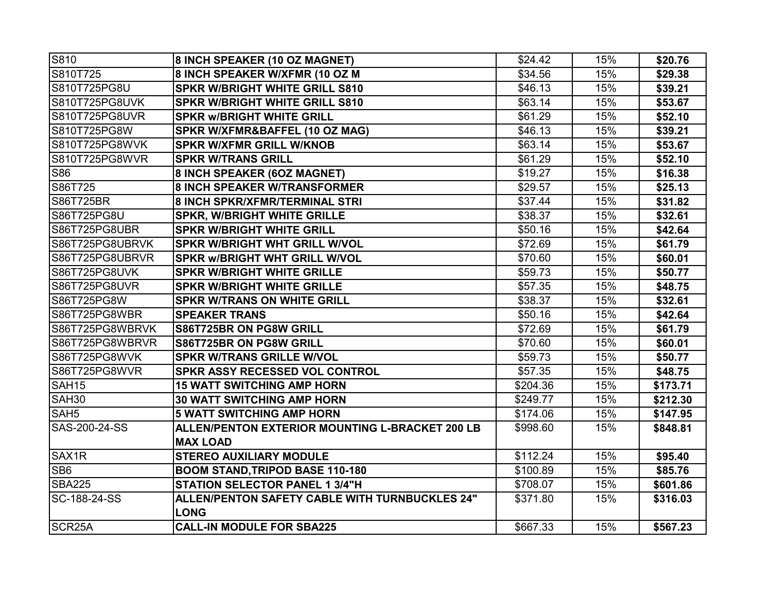| S810                | 8 INCH SPEAKER (10 OZ MAGNET)                   | \$24.42  | 15% | \$20.76  |
|---------------------|-------------------------------------------------|----------|-----|----------|
| S810T725            | 8 INCH SPEAKER W/XFMR (10 OZ M                  | \$34.56  | 15% | \$29.38  |
| S810T725PG8U        | <b>SPKR W/BRIGHT WHITE GRILL S810</b>           | \$46.13  | 15% | \$39.21  |
| S810T725PG8UVK      | <b>SPKR W/BRIGHT WHITE GRILL S810</b>           | \$63.14  | 15% | \$53.67  |
| S810T725PG8UVR      | <b>SPKR w/BRIGHT WHITE GRILL</b>                | \$61.29  | 15% | \$52.10  |
| S810T725PG8W        | SPKR W/XFMR&BAFFEL (10 OZ MAG)                  | \$46.13  | 15% | \$39.21  |
| S810T725PG8WVK      | <b>SPKR W/XFMR GRILL W/KNOB</b>                 | \$63.14  | 15% | \$53.67  |
| S810T725PG8WVR      | <b>SPKR W/TRANS GRILL</b>                       | \$61.29  | 15% | \$52.10  |
| <b>S86</b>          | 8 INCH SPEAKER (6OZ MAGNET)                     | \$19.27  | 15% | \$16.38  |
| S86T725             | <b>8 INCH SPEAKER W/TRANSFORMER</b>             | \$29.57  | 15% | \$25.13  |
| S86T725BR           | 8 INCH SPKR/XFMR/TERMINAL STRI                  | \$37.44  | 15% | \$31.82  |
| S86T725PG8U         | <b>SPKR, W/BRIGHT WHITE GRILLE</b>              | \$38.37  | 15% | \$32.61  |
| S86T725PG8UBR       | <b>SPKR W/BRIGHT WHITE GRILL</b>                | \$50.16  | 15% | \$42.64  |
| S86T725PG8UBRVK     | <b>SPKR W/BRIGHT WHT GRILL W/VOL</b>            | \$72.69  | 15% | \$61.79  |
| S86T725PG8UBRVR     | <b>SPKR w/BRIGHT WHT GRILL W/VOL</b>            | \$70.60  | 15% | \$60.01  |
| S86T725PG8UVK       | <b>SPKR W/BRIGHT WHITE GRILLE</b>               | \$59.73  | 15% | \$50.77  |
| S86T725PG8UVR       | <b>SPKR W/BRIGHT WHITE GRILLE</b>               | \$57.35  | 15% | \$48.75  |
| S86T725PG8W         | <b>SPKR W/TRANS ON WHITE GRILL</b>              | \$38.37  | 15% | \$32.61  |
| S86T725PG8WBR       | <b>SPEAKER TRANS</b>                            | \$50.16  | 15% | \$42.64  |
| S86T725PG8WBRVK     | S86T725BR ON PG8W GRILL                         | \$72.69  | 15% | \$61.79  |
| S86T725PG8WBRVR     | S86T725BR ON PG8W GRILL                         | \$70.60  | 15% | \$60.01  |
| S86T725PG8WVK       | <b>SPKR W/TRANS GRILLE W/VOL</b>                | \$59.73  | 15% | \$50.77  |
| S86T725PG8WVR       | <b>SPKR ASSY RECESSED VOL CONTROL</b>           | \$57.35  | 15% | \$48.75  |
| <b>SAH15</b>        | <b>15 WATT SWITCHING AMP HORN</b>               | \$204.36 | 15% | \$173.71 |
| <b>SAH30</b>        | <b>30 WATT SWITCHING AMP HORN</b>               | \$249.77 | 15% | \$212.30 |
| SAH <sub>5</sub>    | <b>5 WATT SWITCHING AMP HORN</b>                | \$174.06 | 15% | \$147.95 |
| SAS-200-24-SS       | ALLEN/PENTON EXTERIOR MOUNTING L-BRACKET 200 LB | \$998.60 | 15% | \$848.81 |
|                     | <b>MAX LOAD</b>                                 |          |     |          |
| SAX <sub>1</sub> R  | <b>STEREO AUXILIARY MODULE</b>                  | \$112.24 | 15% | \$95.40  |
| SB <sub>6</sub>     | <b>BOOM STAND, TRIPOD BASE 110-180</b>          | \$100.89 | 15% | \$85.76  |
| <b>SBA225</b>       | <b>STATION SELECTOR PANEL 1 3/4"H</b>           | \$708.07 | 15% | \$601.86 |
| SC-188-24-SS        | ALLEN/PENTON SAFETY CABLE WITH TURNBUCKLES 24"  | \$371.80 | 15% | \$316.03 |
|                     | <b>LONG</b>                                     |          |     |          |
| SCR <sub>25</sub> A | <b>CALL-IN MODULE FOR SBA225</b>                | \$667.33 | 15% | \$567.23 |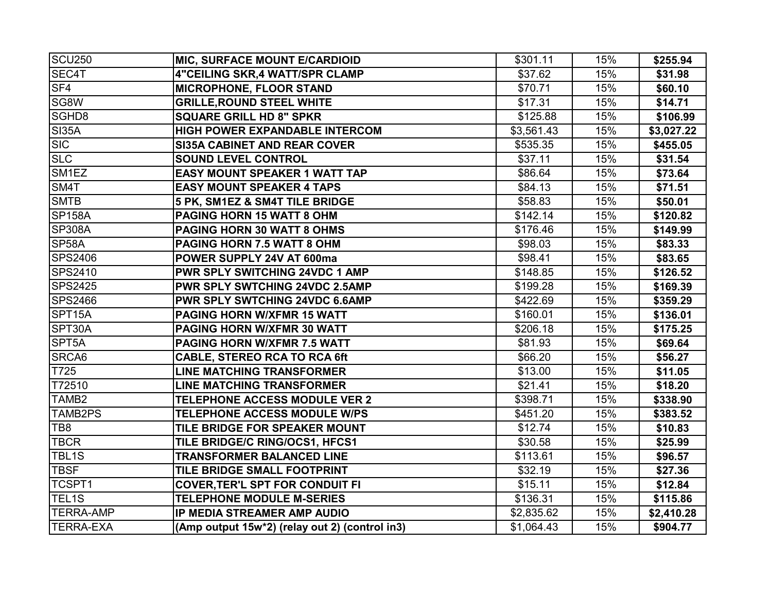| <b>SCU250</b>     | MIC, SURFACE MOUNT E/CARDIOID                  | \$301.11   | 15% | \$255.94   |
|-------------------|------------------------------------------------|------------|-----|------------|
| SEC4T             | 4"CEILING SKR,4 WATT/SPR CLAMP                 | \$37.62    | 15% | \$31.98    |
| SF <sub>4</sub>   | <b>MICROPHONE, FLOOR STAND</b>                 | \$70.71    | 15% | \$60.10    |
| SG8W              | <b>GRILLE, ROUND STEEL WHITE</b>               | \$17.31    | 15% | \$14.71    |
| SGHD8             | <b>SQUARE GRILL HD 8" SPKR</b>                 | \$125.88   | 15% | \$106.99   |
| <b>SI35A</b>      | <b>HIGH POWER EXPANDABLE INTERCOM</b>          | \$3,561.43 | 15% | \$3,027.22 |
| <b>SIC</b>        | <b>SI35A CABINET AND REAR COVER</b>            | \$535.35   | 15% | \$455.05   |
| <b>SLC</b>        | <b>SOUND LEVEL CONTROL</b>                     | \$37.11    | 15% | \$31.54    |
| SM1EZ             | <b>EASY MOUNT SPEAKER 1 WATT TAP</b>           | \$86.64    | 15% | \$73.64    |
| SM4T              | <b>EASY MOUNT SPEAKER 4 TAPS</b>               | \$84.13    | 15% | \$71.51    |
| <b>SMTB</b>       | 5 PK, SM1EZ & SM4T TILE BRIDGE                 | \$58.83    | 15% | \$50.01    |
| <b>SP158A</b>     | PAGING HORN 15 WATT 8 OHM                      | \$142.14   | 15% | \$120.82   |
| <b>SP308A</b>     | PAGING HORN 30 WATT 8 OHMS                     | \$176.46   | 15% | \$149.99   |
| SP58A             | PAGING HORN 7.5 WATT 8 OHM                     | \$98.03    | 15% | \$83.33    |
| <b>SPS2406</b>    | POWER SUPPLY 24V AT 600ma                      | \$98.41    | 15% | \$83.65    |
| SPS2410           | <b>PWR SPLY SWITCHING 24VDC 1 AMP</b>          | \$148.85   | 15% | \$126.52   |
| <b>SPS2425</b>    | PWR SPLY SWTCHING 24VDC 2.5AMP                 | \$199.28   | 15% | \$169.39   |
| <b>SPS2466</b>    | PWR SPLY SWTCHING 24VDC 6.6AMP                 | \$422.69   | 15% | \$359.29   |
| SPT15A            | <b>PAGING HORN W/XFMR 15 WATT</b>              | \$160.01   | 15% | \$136.01   |
| SPT30A            | PAGING HORN W/XFMR 30 WATT                     | \$206.18   | 15% | \$175.25   |
| SPT5A             | PAGING HORN W/XFMR 7.5 WATT                    | \$81.93    | 15% | \$69.64    |
| SRCA6             | <b>CABLE, STEREO RCA TO RCA 6ft</b>            | \$66.20    | 15% | \$56.27    |
| T725              | <b>LINE MATCHING TRANSFORMER</b>               | \$13.00    | 15% | \$11.05    |
| T72510            | <b>LINE MATCHING TRANSFORMER</b>               | \$21.41    | 15% | \$18.20    |
| TAMB <sub>2</sub> | <b>TELEPHONE ACCESS MODULE VER 2</b>           | \$398.71   | 15% | \$338.90   |
| TAMB2PS           | TELEPHONE ACCESS MODULE W/PS                   | \$451.20   | 15% | \$383.52   |
| TB8               | TILE BRIDGE FOR SPEAKER MOUNT                  | \$12.74    | 15% | \$10.83    |
| <b>TBCR</b>       | TILE BRIDGE/C RING/OCS1, HFCS1                 | \$30.58    | 15% | \$25.99    |
| TBL1S             | <b>TRANSFORMER BALANCED LINE</b>               | \$113.61   | 15% | \$96.57    |
| <b>TBSF</b>       | TILE BRIDGE SMALL FOOTPRINT                    | \$32.19    | 15% | \$27.36    |
| TCSPT1            | <b>COVER, TER'L SPT FOR CONDUIT FI</b>         | \$15.11    | 15% | \$12.84    |
| TEL1S             | <b>TELEPHONE MODULE M-SERIES</b>               | \$136.31   | 15% | \$115.86   |
| <b>TERRA-AMP</b>  | IP MEDIA STREAMER AMP AUDIO                    | \$2,835.62 | 15% | \$2,410.28 |
| <b>TERRA-EXA</b>  | (Amp output 15w*2) (relay out 2) (control in3) | \$1,064.43 | 15% | \$904.77   |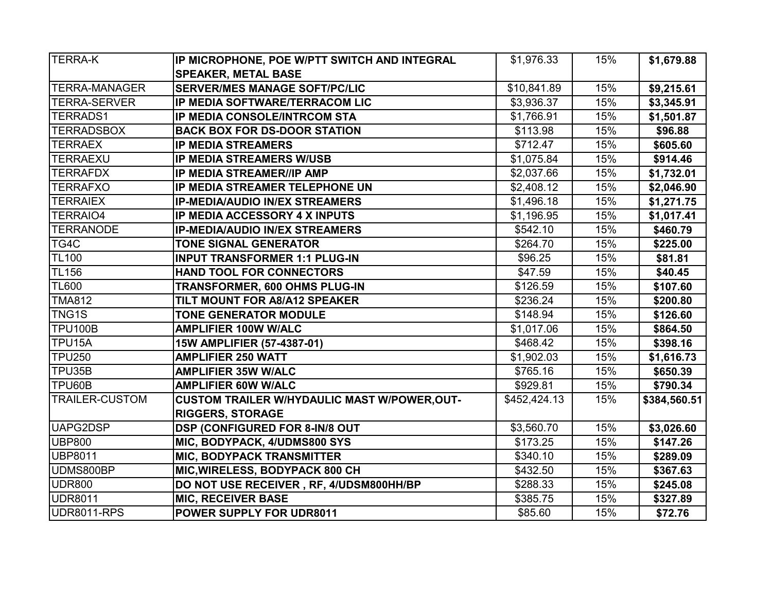| <b>TERRA-K</b>        | IP MICROPHONE, POE W/PTT SWITCH AND INTEGRAL        | \$1,976.33   | 15% | \$1,679.88   |
|-----------------------|-----------------------------------------------------|--------------|-----|--------------|
|                       | <b>SPEAKER, METAL BASE</b>                          |              |     |              |
| <b>TERRA-MANAGER</b>  | <b>SERVER/MES MANAGE SOFT/PC/LIC</b>                | \$10,841.89  | 15% | \$9,215.61   |
| <b>TERRA-SERVER</b>   | IP MEDIA SOFTWARE/TERRACOM LIC                      | \$3,936.37   | 15% | \$3,345.91   |
| <b>TERRADS1</b>       | <b>IP MEDIA CONSOLE/INTRCOM STA</b>                 | \$1,766.91   | 15% | \$1,501.87   |
| <b>TERRADSBOX</b>     | <b>BACK BOX FOR DS-DOOR STATION</b>                 | \$113.98     | 15% | \$96.88      |
| <b>TERRAEX</b>        | <b>IP MEDIA STREAMERS</b>                           | \$712.47     | 15% | \$605.60     |
| <b>TERRAEXU</b>       | <b>IP MEDIA STREAMERS W/USB</b>                     | \$1,075.84   | 15% | \$914.46     |
| <b>TERRAFDX</b>       | <b>IP MEDIA STREAMER//IP AMP</b>                    | \$2,037.66   | 15% | \$1,732.01   |
| <b>TERRAFXO</b>       | IP MEDIA STREAMER TELEPHONE UN                      | \$2,408.12   | 15% | \$2,046.90   |
| <b>TERRAIEX</b>       | <b>IP-MEDIA/AUDIO IN/EX STREAMERS</b>               | \$1,496.18   | 15% | \$1,271.75   |
| <b>TERRAIO4</b>       | IP MEDIA ACCESSORY 4 X INPUTS                       | \$1,196.95   | 15% | \$1,017.41   |
| <b>TERRANODE</b>      | <b>IP-MEDIA/AUDIO IN/EX STREAMERS</b>               | \$542.10     | 15% | \$460.79     |
| TG4C                  | <b>TONE SIGNAL GENERATOR</b>                        | \$264.70     | 15% | \$225.00     |
| <b>TL100</b>          | <b>INPUT TRANSFORMER 1:1 PLUG-IN</b>                | \$96.25      | 15% | \$81.81      |
| <b>TL156</b>          | <b>HAND TOOL FOR CONNECTORS</b>                     | \$47.59      | 15% | \$40.45      |
| <b>TL600</b>          | TRANSFORMER, 600 OHMS PLUG-IN                       | \$126.59     | 15% | \$107.60     |
| <b>TMA812</b>         | TILT MOUNT FOR A8/A12 SPEAKER                       | \$236.24     | 15% | \$200.80     |
| TNG1S                 | <b>TONE GENERATOR MODULE</b>                        | \$148.94     | 15% | \$126.60     |
| <b>TPU100B</b>        | <b>AMPLIFIER 100W W/ALC</b>                         | \$1,017.06   | 15% | \$864.50     |
| TPU15A                | 15W AMPLIFIER (57-4387-01)                          | \$468.42     | 15% | \$398.16     |
| <b>TPU250</b>         | <b>AMPLIFIER 250 WATT</b>                           | \$1,902.03   | 15% | \$1,616.73   |
| TPU35B                | <b>AMPLIFIER 35W W/ALC</b>                          | \$765.16     | 15% | \$650.39     |
| TPU60B                | <b>AMPLIFIER 60W W/ALC</b>                          | \$929.81     | 15% | \$790.34     |
| <b>TRAILER-CUSTOM</b> | <b>CUSTOM TRAILER W/HYDAULIC MAST W/POWER, OUT-</b> | \$452,424.13 | 15% | \$384,560.51 |
|                       | <b>RIGGERS, STORAGE</b>                             |              |     |              |
| UAPG2DSP              | DSP (CONFIGURED FOR 8-IN/8 OUT                      | \$3,560.70   | 15% | \$3,026.60   |
| <b>UBP800</b>         | MIC, BODYPACK, 4/UDMS800 SYS                        | \$173.25     | 15% | \$147.26     |
| UBP8011               | <b>MIC, BODYPACK TRANSMITTER</b>                    | \$340.10     | 15% | \$289.09     |
| UDMS800BP             | MIC, WIRELESS, BODYPACK 800 CH                      | \$432.50     | 15% | \$367.63     |
| <b>UDR800</b>         | DO NOT USE RECEIVER, RF, 4/UDSM800HH/BP             | \$288.33     | 15% | \$245.08     |
| <b>UDR8011</b>        | <b>MIC, RECEIVER BASE</b>                           | \$385.75     | 15% | \$327.89     |
| UDR8011-RPS           | POWER SUPPLY FOR UDR8011                            | \$85.60      | 15% | \$72.76      |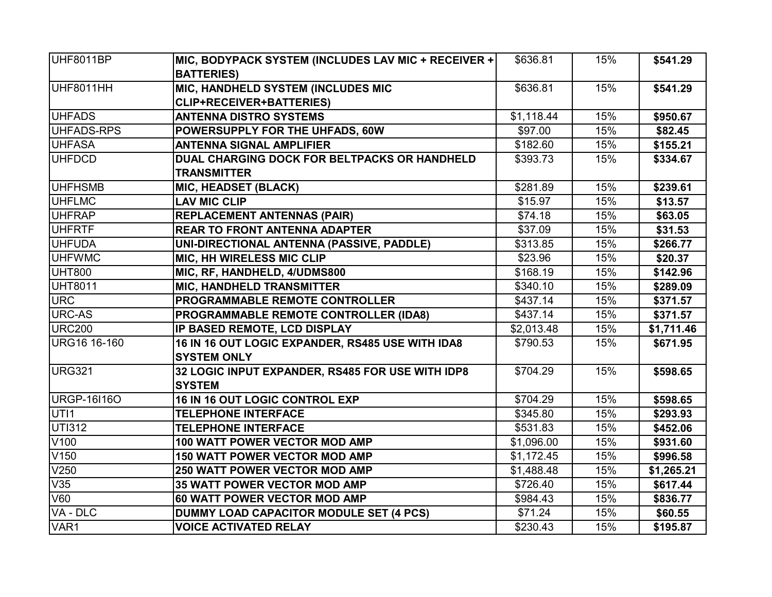| UHF8011BP          | MIC, BODYPACK SYSTEM (INCLUDES LAV MIC + RECEIVER + | \$636.81   | 15% | \$541.29   |
|--------------------|-----------------------------------------------------|------------|-----|------------|
|                    | <b>BATTERIES)</b>                                   |            |     |            |
| UHF8011HH          | MIC, HANDHELD SYSTEM (INCLUDES MIC                  | \$636.81   | 15% | \$541.29   |
|                    | CLIP+RECEIVER+BATTERIES)                            |            |     |            |
| <b>UHFADS</b>      | <b>ANTENNA DISTRO SYSTEMS</b>                       | \$1,118.44 | 15% | \$950.67   |
| UHFADS-RPS         | POWERSUPPLY FOR THE UHFADS, 60W                     | \$97.00    | 15% | \$82.45    |
| <b>UHFASA</b>      | <b>ANTENNA SIGNAL AMPLIFIER</b>                     | \$182.60   | 15% | \$155.21   |
| <b>UHFDCD</b>      | DUAL CHARGING DOCK FOR BELTPACKS OR HANDHELD        | \$393.73   | 15% | \$334.67   |
|                    | <b>TRANSMITTER</b>                                  |            |     |            |
| <b>UHFHSMB</b>     | <b>MIC, HEADSET (BLACK)</b>                         | \$281.89   | 15% | \$239.61   |
| <b>UHFLMC</b>      | <b>LAV MIC CLIP</b>                                 | \$15.97    | 15% | \$13.57    |
| <b>UHFRAP</b>      | <b>REPLACEMENT ANTENNAS (PAIR)</b>                  | \$74.18    | 15% | \$63.05    |
| <b>UHFRTF</b>      | <b>REAR TO FRONT ANTENNA ADAPTER</b>                | \$37.09    | 15% | \$31.53    |
| <b>UHFUDA</b>      | UNI-DIRECTIONAL ANTENNA (PASSIVE, PADDLE)           | \$313.85   | 15% | \$266.77   |
| <b>UHFWMC</b>      | <b>MIC, HH WIRELESS MIC CLIP</b>                    | \$23.96    | 15% | \$20.37    |
| <b>UHT800</b>      | MIC, RF, HANDHELD, 4/UDMS800                        | \$168.19   | 15% | \$142.96   |
| <b>UHT8011</b>     | <b>MIC, HANDHELD TRANSMITTER</b>                    | \$340.10   | 15% | \$289.09   |
| URC                | PROGRAMMABLE REMOTE CONTROLLER                      | \$437.14   | 15% | \$371.57   |
| <b>URC-AS</b>      | PROGRAMMABLE REMOTE CONTROLLER (IDA8)               | \$437.14   | 15% | \$371.57   |
| <b>URC200</b>      | IP BASED REMOTE, LCD DISPLAY                        | \$2,013.48 | 15% | \$1,711.46 |
| URG16 16-160       | 16 IN 16 OUT LOGIC EXPANDER, RS485 USE WITH IDA8    | \$790.53   | 15% | \$671.95   |
|                    | <b>SYSTEM ONLY</b>                                  |            |     |            |
| <b>URG321</b>      | 32 LOGIC INPUT EXPANDER, RS485 FOR USE WITH IDP8    | \$704.29   | 15% | \$598.65   |
|                    | <b>SYSTEM</b>                                       |            |     |            |
| <b>URGP-16I16O</b> | 16 IN 16 OUT LOGIC CONTROL EXP                      | \$704.29   | 15% | \$598.65   |
| UTI1               | <b>TELEPHONE INTERFACE</b>                          | \$345.80   | 15% | \$293.93   |
| <b>UTI312</b>      | <b>TELEPHONE INTERFACE</b>                          | \$531.83   | 15% | \$452.06   |
| V <sub>100</sub>   | 100 WATT POWER VECTOR MOD AMP                       | \$1,096.00 | 15% | \$931.60   |
| V150               | <b>150 WATT POWER VECTOR MOD AMP</b>                | \$1,172.45 | 15% | \$996.58   |
| V250               | 250 WATT POWER VECTOR MOD AMP                       | \$1,488.48 | 15% | \$1,265.21 |
| V35                | 35 WATT POWER VECTOR MOD AMP                        | \$726.40   | 15% | \$617.44   |
| V60                | 60 WATT POWER VECTOR MOD AMP                        | \$984.43   | 15% | \$836.77   |
| VA - DLC           | DUMMY LOAD CAPACITOR MODULE SET (4 PCS)             | \$71.24    | 15% | \$60.55    |
| VAR1               | <b>VOICE ACTIVATED RELAY</b>                        | \$230.43   | 15% | \$195.87   |